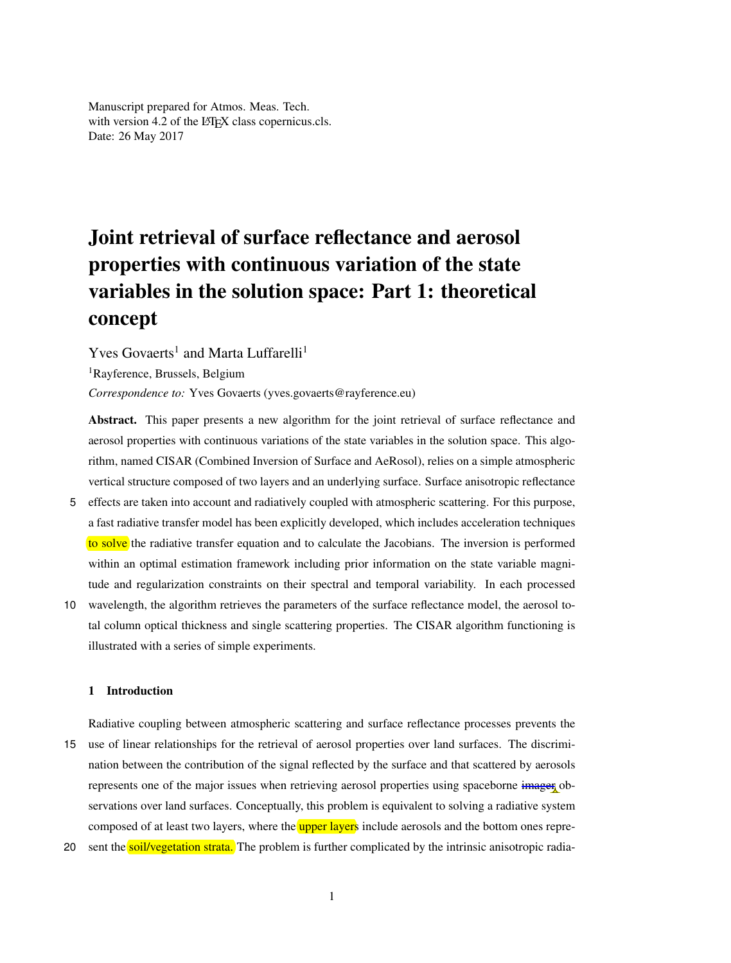Manuscript prepared for Atmos. Meas. Tech. with version 4.2 of the LAT<sub>EX</sub> class copernicus.cls. Date: 26 May 2017

# Joint retrieval of surface reflectance and aerosol properties with continuous variation of the state variables in the solution space: Part 1: theoretical concept

Yves Govaerts<sup>1</sup> and Marta Luffarelli<sup>1</sup>

<sup>1</sup>Rayference, Brussels, Belgium

*Correspondence to:* Yves Govaerts (yves.govaerts@rayference.eu)

Abstract. This paper presents a new algorithm for the joint retrieval of surface reflectance and aerosol properties with continuous variations of the state variables in the solution space. This algorithm, named CISAR (Combined Inversion of Surface and AeRosol), relies on a simple atmospheric vertical structure composed of two layers and an underlying surface. Surface anisotropic reflectance

- 5 effects are taken into account and radiatively coupled with atmospheric scattering. For this purpose, a fast radiative transfer model has been explicitly developed, which includes acceleration techniques to solve the radiative transfer equation and to calculate the Jacobians. The inversion is performed within an optimal estimation framework including prior information on the state variable magnitude and regularization constraints on their spectral and temporal variability. In each processed
- 10 wavelength, the algorithm retrieves the parameters of the surface reflectance model, the aerosol total column optical thickness and single scattering properties. The CISAR algorithm functioning is illustrated with a series of simple experiments.

# 1 Introduction

Radiative coupling between atmospheric scattering and surface reflectance processes prevents the 15 use of linear relationships for the retrieval of aerosol properties over land surfaces. The discrimination between the contribution of the signal reflected by the surface and that scattered by aerosols represents one of the major issues when retrieving aerosol properties using spaceborne imager observations over land surfaces. Conceptually, this problem is equivalent to solving a radiative system composed of at least two layers, where the upper layers include aerosols and the bottom ones repre-

20 sent the soil/vegetation strata. The problem is further complicated by the intrinsic anisotropic radia-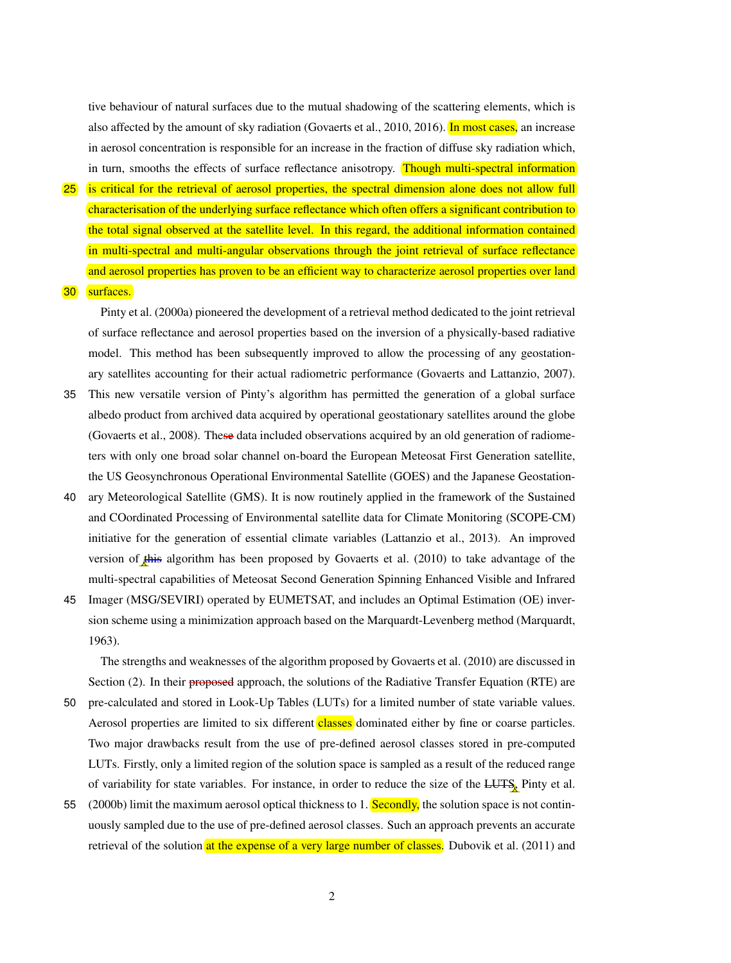tive behaviour of natural surfaces due to the mutual shadowing of the scattering elements, which is also affected by the amount of sky radiation (Govaerts et al., 2010, 2016). In most cases, an increase in aerosol concentration is responsible for an increase in the fraction of diffuse sky radiation which, in turn, smooths the effects of surface reflectance anisotropy. Though multi-spectral information

25 is critical for the retrieval of aerosol properties, the spectral dimension alone does not allow full characterisation of the underlying surface reflectance which often offers a significant contribution to the total signal observed at the satellite level. In this regard, the additional information contained in multi-spectral and multi-angular observations through the joint retrieval of surface reflectance and aerosol properties has proven to be an efficient way to characterize aerosol properties over land

30 surfaces.

Pinty et al. (2000a) pioneered the development of a retrieval method dedicated to the joint retrieval of surface reflectance and aerosol properties based on the inversion of a physically-based radiative model. This method has been subsequently improved to allow the processing of any geostationary satellites accounting for their actual radiometric performance (Govaerts and Lattanzio, 2007).

- 35 This new versatile version of Pinty's algorithm has permitted the generation of a global surface albedo product from archived data acquired by operational geostationary satellites around the globe (Govaerts et al., 2008). These data included observations acquired by an old generation of radiometers with only one broad solar channel on-board the European Meteosat First Generation satellite, the US Geosynchronous Operational Environmental Satellite (GOES) and the Japanese Geostation-
- 40 ary Meteorological Satellite (GMS). It is now routinely applied in the framework of the Sustained and COordinated Processing of Environmental satellite data for Climate Monitoring (SCOPE-CM) initiative for the generation of essential climate variables (Lattanzio et al., 2013). An improved version of this algorithm has been proposed by Govaerts et al. (2010) to take advantage of the multi-spectral capabilities of Meteosat Second Generation Spinning Enhanced Visible and Infrared
- 45 Imager (MSG/SEVIRI) operated by EUMETSAT, and includes an Optimal Estimation (OE) inversion scheme using a minimization approach based on the Marquardt-Levenberg method (Marquardt, 1963).

The strengths and weaknesses of the algorithm proposed by Govaerts et al. (2010) are discussed in Section (2). In their proposed approach, the solutions of the Radiative Transfer Equation (RTE) are

- 50 pre-calculated and stored in Look-Up Tables (LUTs) for a limited number of state variable values. Aerosol properties are limited to six different classes dominated either by fine or coarse particles. Two major drawbacks result from the use of pre-defined aerosol classes stored in pre-computed LUTs. Firstly, only a limited region of the solution space is sampled as a result of the reduced range of variability for state variables. For instance, in order to reduce the size of the LUTS, Pinty et al.
- 55 (2000b) limit the maximum aerosol optical thickness to  $1$ . Secondly, the solution space is not continuously sampled due to the use of pre-defined aerosol classes. Such an approach prevents an accurate retrieval of the solution at the expense of a very large number of classes. Dubovik et al. (2011) and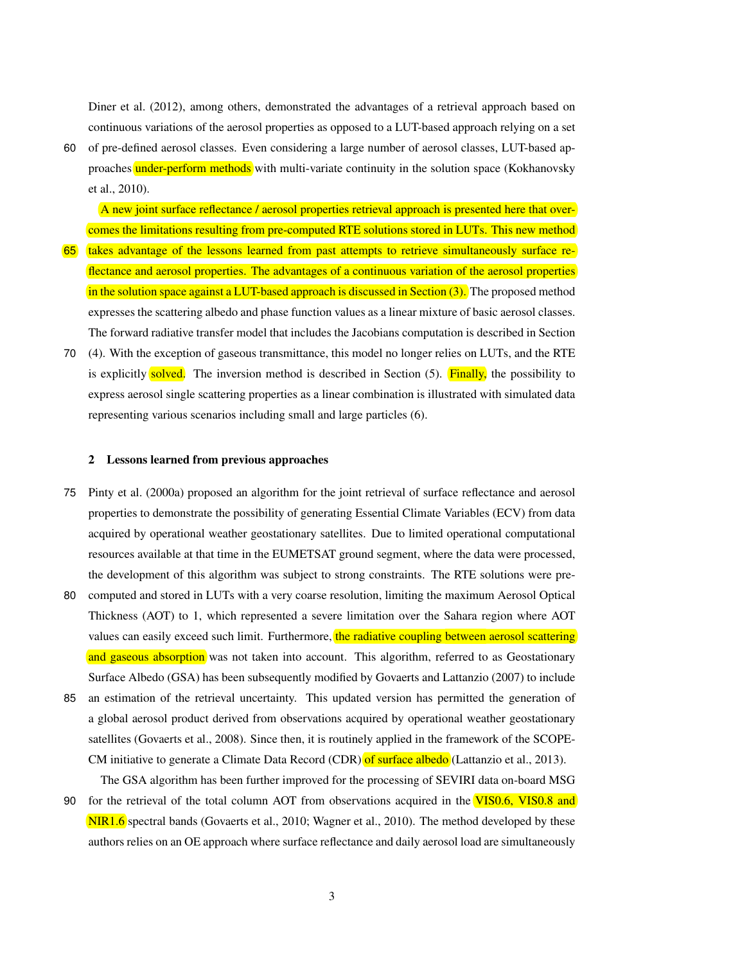Diner et al. (2012), among others, demonstrated the advantages of a retrieval approach based on continuous variations of the aerosol properties as opposed to a LUT-based approach relying on a set

60 of pre-defined aerosol classes. Even considering a large number of aerosol classes, LUT-based approaches under-perform methods with multi-variate continuity in the solution space (Kokhanovsky et al., 2010).

A new joint surface reflectance / aerosol properties retrieval approach is presented here that overcomes the limitations resulting from pre-computed RTE solutions stored in LUTs. This new method

- 65 takes advantage of the lessons learned from past attempts to retrieve simultaneously surface reflectance and aerosol properties. The advantages of a continuous variation of the aerosol properties in the solution space against a LUT-based approach is discussed in Section (3). The proposed method expresses the scattering albedo and phase function values as a linear mixture of basic aerosol classes. The forward radiative transfer model that includes the Jacobians computation is described in Section
- 70 (4). With the exception of gaseous transmittance, this model no longer relies on LUTs, and the RTE is explicitly solved. The inversion method is described in Section  $(5)$ . Finally, the possibility to express aerosol single scattering properties as a linear combination is illustrated with simulated data representing various scenarios including small and large particles (6).

#### 2 Lessons learned from previous approaches

- 75 Pinty et al. (2000a) proposed an algorithm for the joint retrieval of surface reflectance and aerosol properties to demonstrate the possibility of generating Essential Climate Variables (ECV) from data acquired by operational weather geostationary satellites. Due to limited operational computational resources available at that time in the EUMETSAT ground segment, where the data were processed, the development of this algorithm was subject to strong constraints. The RTE solutions were pre-
- 80 computed and stored in LUTs with a very coarse resolution, limiting the maximum Aerosol Optical Thickness (AOT) to 1, which represented a severe limitation over the Sahara region where AOT values can easily exceed such limit. Furthermore, the radiative coupling between aerosol scattering and gaseous absorption was not taken into account. This algorithm, referred to as Geostationary Surface Albedo (GSA) has been subsequently modified by Govaerts and Lattanzio (2007) to include
- 85 an estimation of the retrieval uncertainty. This updated version has permitted the generation of a global aerosol product derived from observations acquired by operational weather geostationary satellites (Govaerts et al., 2008). Since then, it is routinely applied in the framework of the SCOPE-CM initiative to generate a Climate Data Record (CDR) of surface albedo (Lattanzio et al., 2013).

The GSA algorithm has been further improved for the processing of SEVIRI data on-board MSG

90 for the retrieval of the total column AOT from observations acquired in the VIS0.6, VIS0.8 and NIR1.6 spectral bands (Govaerts et al., 2010; Wagner et al., 2010). The method developed by these authors relies on an OE approach where surface reflectance and daily aerosol load are simultaneously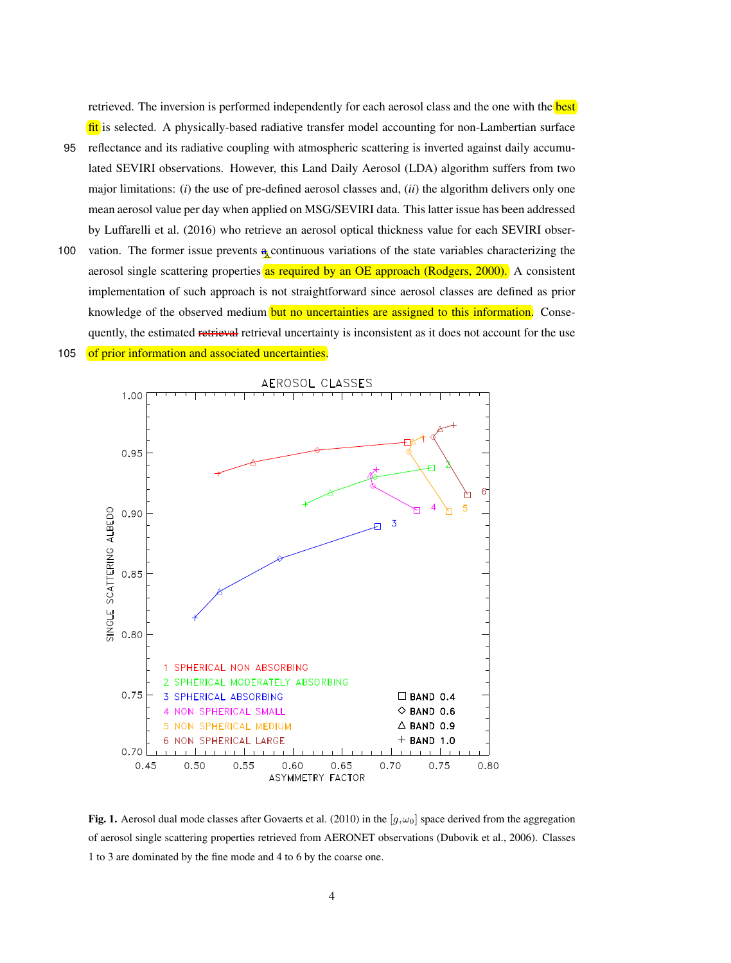retrieved. The inversion is performed independently for each aerosol class and the one with the **best** fit is selected. A physically-based radiative transfer model accounting for non-Lambertian surface

- 95 reflectance and its radiative coupling with atmospheric scattering is inverted against daily accumulated SEVIRI observations. However, this Land Daily Aerosol (LDA) algorithm suffers from two major limitations: (*i*) the use of pre-defined aerosol classes and, (*ii*) the algorithm delivers only one mean aerosol value per day when applied on MSG/SEVIRI data. This latter issue has been addressed by Luffarelli et al. (2016) who retrieve an aerosol optical thickness value for each SEVIRI obser-
- 100 vation. The former issue prevents a continuous variations of the state variables characterizing the aerosol single scattering properties as required by an OE approach (Rodgers, 2000). A consistent implementation of such approach is not straightforward since aerosol classes are defined as prior knowledge of the observed medium but no uncertainties are assigned to this information. Consequently, the estimated retrieval retrieval uncertainty is inconsistent as it does not account for the use 105 of prior information and associated uncertainties.



Fig. 1. Aerosol dual mode classes after Govaerts et al. (2010) in the [ $g, \omega_0$ ] space derived from the aggregation of aerosol single scattering properties retrieved from AERONET observations (Dubovik et al., 2006). Classes 1 to 3 are dominated by the fine mode and 4 to 6 by the coarse one.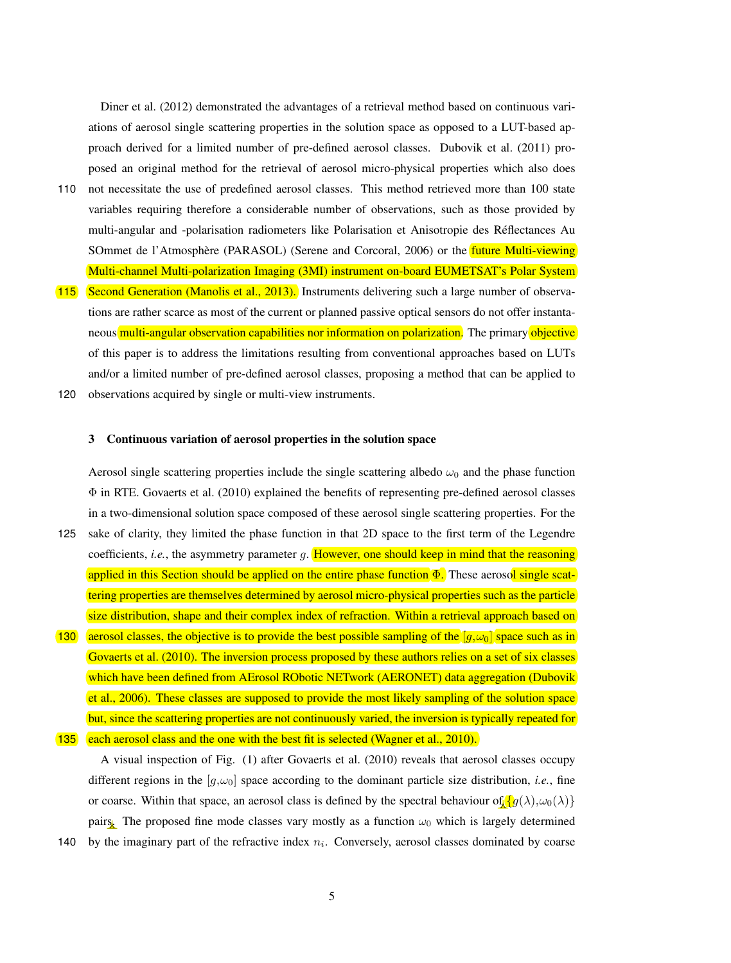Diner et al. (2012) demonstrated the advantages of a retrieval method based on continuous variations of aerosol single scattering properties in the solution space as opposed to a LUT-based approach derived for a limited number of pre-defined aerosol classes. Dubovik et al. (2011) proposed an original method for the retrieval of aerosol micro-physical properties which also does

- 110 not necessitate the use of predefined aerosol classes. This method retrieved more than 100 state variables requiring therefore a considerable number of observations, such as those provided by multi-angular and -polarisation radiometers like Polarisation et Anisotropie des Reflectances Au ´ SOmmet de l'Atmosphère (PARASOL) (Serene and Corcoral, 2006) or the *future Multi-viewing* Multi-channel Multi-polarization Imaging (3MI) instrument on-board EUMETSAT's Polar System
- 115 Second Generation (Manolis et al., 2013). Instruments delivering such a large number of observations are rather scarce as most of the current or planned passive optical sensors do not offer instantaneous multi-angular observation capabilities nor information on polarization. The primary objective of this paper is to address the limitations resulting from conventional approaches based on LUTs and/or a limited number of pre-defined aerosol classes, proposing a method that can be applied to 120 observations acquired by single or multi-view instruments.
	-

# 3 Continuous variation of aerosol properties in the solution space

Aerosol single scattering properties include the single scattering albedo  $\omega_0$  and the phase function  $\Phi$  in RTE. Govaerts et al. (2010) explained the benefits of representing pre-defined aerosol classes in a two-dimensional solution space composed of these aerosol single scattering properties. For the

- 125 sake of clarity, they limited the phase function in that 2D space to the first term of the Legendre coefficients, *i.e.*, the asymmetry parameter  $g$ . However, one should keep in mind that the reasoning applied in this Section should be applied on the entire phase function  $\Phi$ . These aerosol single scattering properties are themselves determined by aerosol micro-physical properties such as the particle size distribution, shape and their complex index of refraction. Within a retrieval approach based on
- 130 aerosol classes, the objective is to provide the best possible sampling of the  $[g,\omega_0]$  space such as in Govaerts et al. (2010). The inversion process proposed by these authors relies on a set of six classes which have been defined from AErosol RObotic NETwork (AERONET) data aggregation (Dubovik et al., 2006). These classes are supposed to provide the most likely sampling of the solution space but, since the scattering properties are not continuously varied, the inversion is typically repeated for **135** each aerosol class and the one with the best fit is selected (Wagner et al.,  $2010$ ).

A visual inspection of Fig. (1) after Govaerts et al. (2010) reveals that aerosol classes occupy different regions in the  $[g,\omega_0]$  space according to the dominant particle size distribution, *i.e.*, fine or coarse. Within that space, an aerosol class is defined by the spectral behaviour of  ${g(\lambda), \omega_0(\lambda)}$ pairs. The proposed fine mode classes vary mostly as a function  $\omega_0$  which is largely determined 140 by the imaginary part of the refractive index  $n_i$ . Conversely, aerosol classes dominated by coarse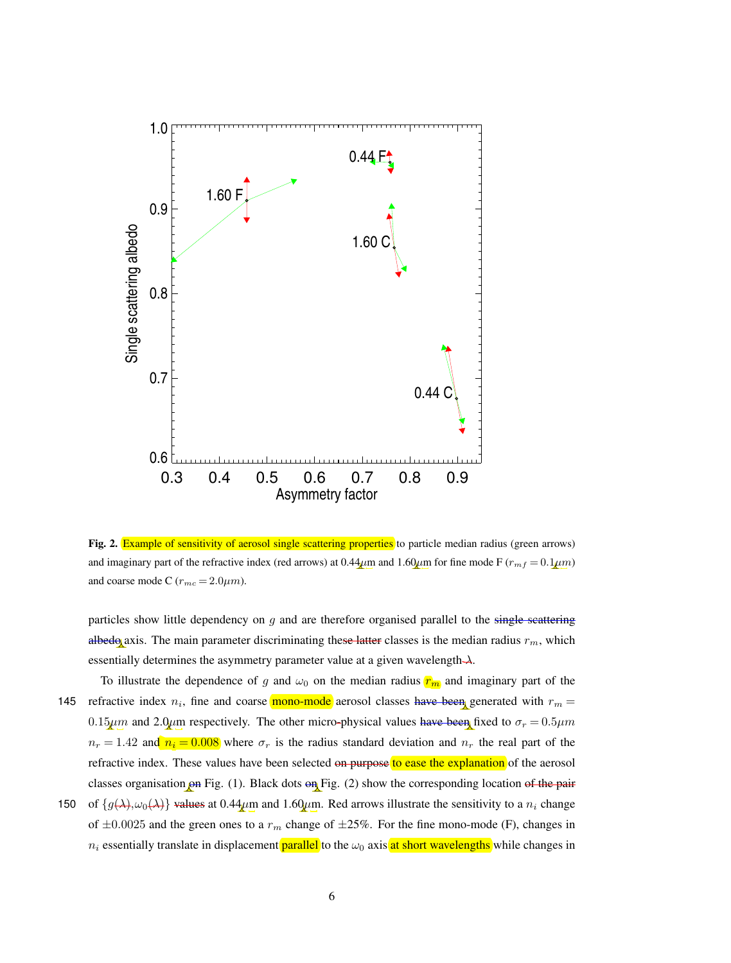

Fig. 2. Example of sensitivity of aerosol single scattering properties to particle median radius (green arrows) and imaginary part of the refractive index (red arrows) at 0.44 $\mu$ m and 1.60 $\mu$ m for fine mode F ( $r_{mf} = 0.1 \mu$ m) and coarse mode C  $(r_{mc} = 2.0 \mu m)$ .

particles show little dependency on  $g$  and are therefore organised parallel to the single-scattering albedo axis. The main parameter discriminating these latter classes is the median radius  $r_m$ , which essentially determines the asymmetry parameter value at a given wavelength $\lambda$ .

- To illustrate the dependence of g and  $\omega_0$  on the median radius  $r_m$  and imaginary part of the 145 refractive index  $n_i$ , fine and coarse mono-mode aerosol classes have been generated with  $r_m =$ 0.15 $\mu$ m and 2.0 $\mu$ m respectively. The other micro-physical values have been fixed to  $\sigma_r = 0.5 \mu m$  $n_r = 1.42$  and  $n_i = 0.008$  where  $\sigma_r$  is the radius standard deviation and  $n_r$  the real part of the refractive index. These values have been selected on purpose to ease the explanation of the aerosol classes organisation on Fig. (1). Black dots on Fig. (2) show the corresponding location of the pair
- 150 of  $\{g(\lambda), \omega_0(\lambda)\}\$  values at 0.44 $\mu$ m and 1.60 $\mu$ m. Red arrows illustrate the sensitivity to a  $n_i$  change of  $\pm 0.0025$  and the green ones to a  $r_m$  change of  $\pm 25\%$ . For the fine mono-mode (F), changes in  $n_i$  essentially translate in displacement **parallel** to the  $\omega_0$  axis at short wavelengths while changes in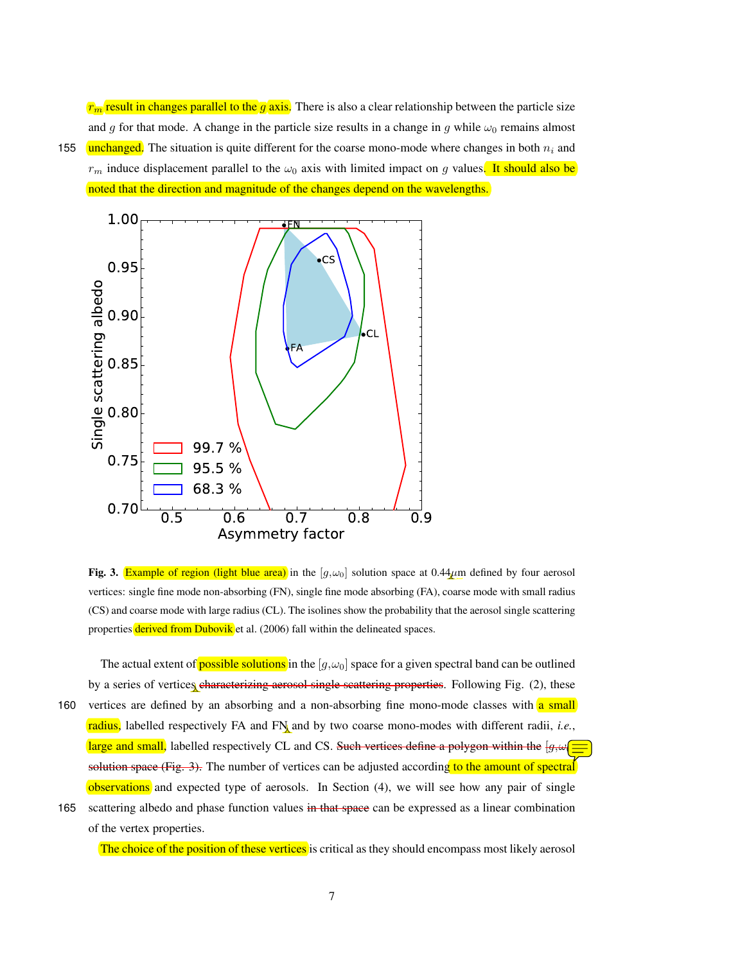$r_m$  result in changes parallel to the g axis. There is also a clear relationship between the particle size and g for that mode. A change in the particle size results in a change in g while  $\omega_0$  remains almost 155 unchanged. The situation is quite different for the coarse mono-mode where changes in both  $n_i$  and  $r_m$  induce displacement parallel to the  $\omega_0$  axis with limited impact on g values. It should also be noted that the direction and magnitude of the changes depend on the wavelengths.



Fig. 3. Example of region (light blue area) in the  $[g, \omega_0]$  solution space at 0.44 $\mu$ m defined by four aerosol vertices: single fine mode non-absorbing (FN), single fine mode absorbing (FA), coarse mode with small radius (CS) and coarse mode with large radius (CL). The isolines show the probability that the aerosol single scattering properties derived from Dubovik et al. (2006) fall within the delineated spaces.

The actual extent of **possible solutions** in the  $[g,\omega_0]$  space for a given spectral band can be outlined by a series of vertices characterizing aerosol single scattering properties. Following Fig. (2), these 160 vertices are defined by an absorbing and a non-absorbing fine mono-mode classes with a small radius, labelled respectively FA and FN and by two coarse mono-modes with different radii, *i.e.*, large and small, labelled respectively CL and CS. Such vertices define a polygon within the  $[g,\omega]$ solution space  $(Fig. 3)$ . The number of vertices can be adjusted according to the amount of spectral observations and expected type of aerosols. In Section (4), we will see how any pair of single

165 scattering albedo and phase function values in that space can be expressed as a linear combination of the vertex properties.

The choice of the position of these vertices is critical as they should encompass most likely aerosol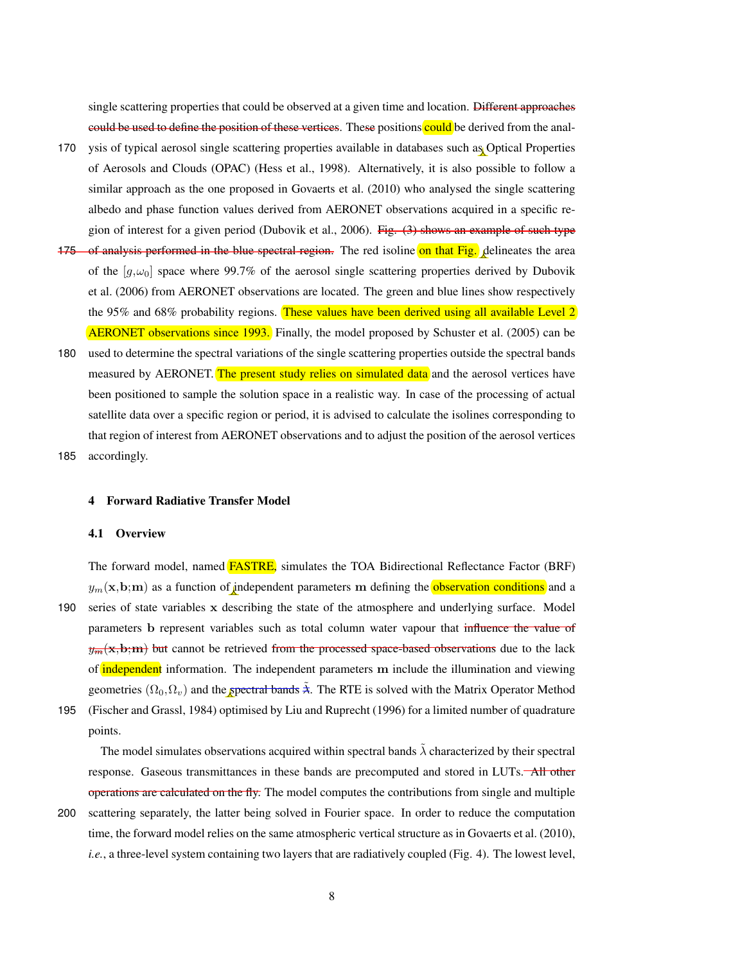single scattering properties that could be observed at a given time and location. Different approaches could be used to define the position of these vertices. These positions could be derived from the anal-

- 170 ysis of typical aerosol single scattering properties available in databases such as Optical Properties of Aerosols and Clouds (OPAC) (Hess et al., 1998). Alternatively, it is also possible to follow a similar approach as the one proposed in Govaerts et al. (2010) who analysed the single scattering albedo and phase function values derived from AERONET observations acquired in a specific region of interest for a given period (Dubovik et al., 2006). Fig. (3) shows an example of such type
- 175 of analysis performed in the blue spectral region. The red isoline on that  $\text{Fig.}$  delineates the area of the  $[g,\omega_0]$  space where 99.7% of the aerosol single scattering properties derived by Dubovik et al. (2006) from AERONET observations are located. The green and blue lines show respectively the 95% and 68% probability regions. These values have been derived using all available Level 2 AERONET observations since 1993. Finally, the model proposed by Schuster et al. (2005) can be
- 180 used to determine the spectral variations of the single scattering properties outside the spectral bands measured by AERONET. The present study relies on simulated data and the aerosol vertices have been positioned to sample the solution space in a realistic way. In case of the processing of actual satellite data over a specific region or period, it is advised to calculate the isolines corresponding to that region of interest from AERONET observations and to adjust the position of the aerosol vertices 185 accordingly.

#### 4 Forward Radiative Transfer Model

# 4.1 Overview

The forward model, named FASTRE, simulates the TOA Bidirectional Reflectance Factor (BRF)  $y_m(\mathbf{x},\mathbf{b};\mathbf{m})$  as a function of independent parameters m defining the **observation conditions** and a 190 series of state variables x describing the state of the atmosphere and underlying surface. Model parameters b represent variables such as total column water vapour that influence the value of  $y<sub>rm</sub>(x,b;m)$  but cannot be retrieved from the processed space-based observations due to the lack of **independent** information. The independent parameters m include the illumination and viewing geometries  $(\Omega_0, \Omega_v)$  and the spectral bands  $\lambda$ . The RTE is solved with the Matrix Operator Method 195 (Fischer and Grassl, 1984) optimised by Liu and Ruprecht (1996) for a limited number of quadrature

points.

The model simulates observations acquired within spectral bands  $\tilde{\lambda}$  characterized by their spectral response. Gaseous transmittances in these bands are precomputed and stored in LUTs. All other operations are calculated on the fly. The model computes the contributions from single and multiple

200 scattering separately, the latter being solved in Fourier space. In order to reduce the computation time, the forward model relies on the same atmospheric vertical structure as in Govaerts et al. (2010), *i.e.*, a three-level system containing two layers that are radiatively coupled (Fig. 4). The lowest level,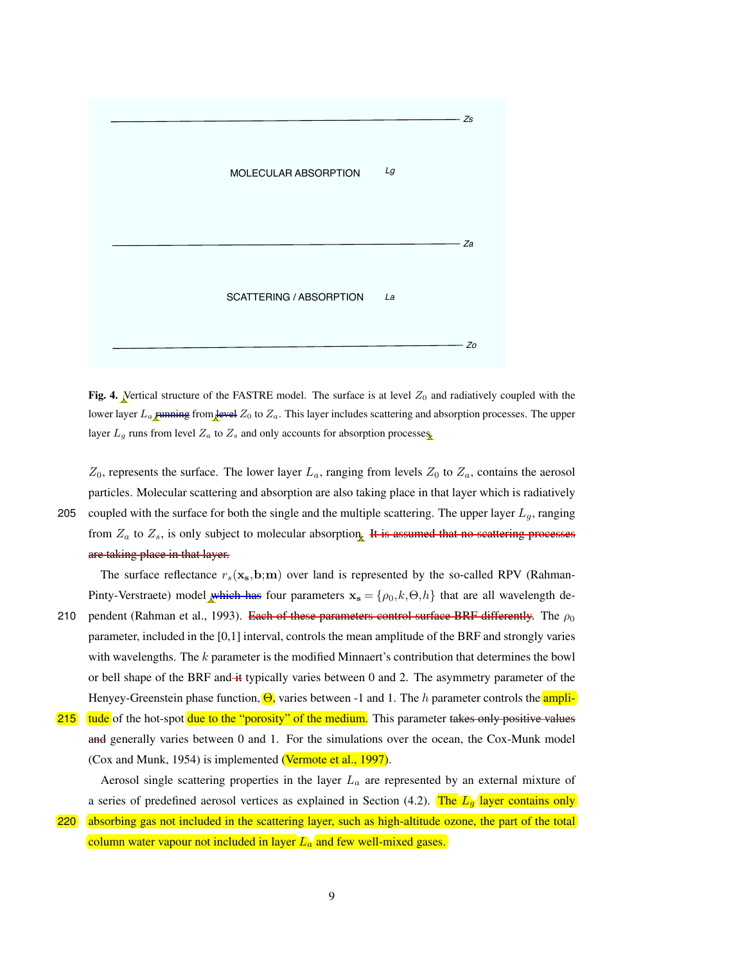

Fig. 4. Vertical structure of the FASTRE model. The surface is at level  $Z_0$  and radiatively coupled with the lower layer  $L_a$  running from level  $Z_0$  to  $Z_a$ . This layer includes scattering and absorption processes. The upper layer  $L_g$  runs from level  $Z_a$  to  $Z_s$  and only accounts for absorption processes.

 $Z_0$ , represents the surface. The lower layer  $L_a$ , ranging from levels  $Z_0$  to  $Z_a$ , contains the aerosol particles. Molecular scattering and absorption are also taking place in that layer which is radiatively 205 coupled with the surface for both the single and the multiple scattering. The upper layer  $L_q$ , ranging from  $Z_a$  to  $Z_s$ , is only subject to molecular absorption. It is assumed that no scattering processes are taking place in that layer.

The surface reflectance  $r_s(\mathbf{x}_s,b;m)$  over land is represented by the so-called RPV (Rahman-Pinty-Verstraete) model which has four parameters  $\mathbf{x_s} = \{\rho_0, k, \Theta, h\}$  that are all wavelength de-

- 210 pendent (Rahman et al., 1993). Each of these parameters control surface BRF differently. The  $\rho_0$ parameter, included in the [0,1] interval, controls the mean amplitude of the BRF and strongly varies with wavelengths. The k parameter is the modified Minnaert's contribution that determines the bowl or bell shape of the BRF and it typically varies between 0 and 2. The asymmetry parameter of the Henyey-Greenstein phase function,  $\Theta$ , varies between -1 and 1. The h parameter controls the ampli-
- 215 tude of the hot-spot due to the "porosity" of the medium. This parameter takes only positive values and generally varies between 0 and 1. For the simulations over the ocean, the Cox-Munk model (Cox and Munk, 1954) is implemented (Vermote et al., 1997).

Aerosol single scattering properties in the layer  $L_a$  are represented by an external mixture of a series of predefined aerosol vertices as explained in Section (4.2). The  $L_q$  layer contains only

220 absorbing gas not included in the scattering layer, such as high-altitude ozone, the part of the total column water vapour not included in layer  $L_a$  and few well-mixed gases.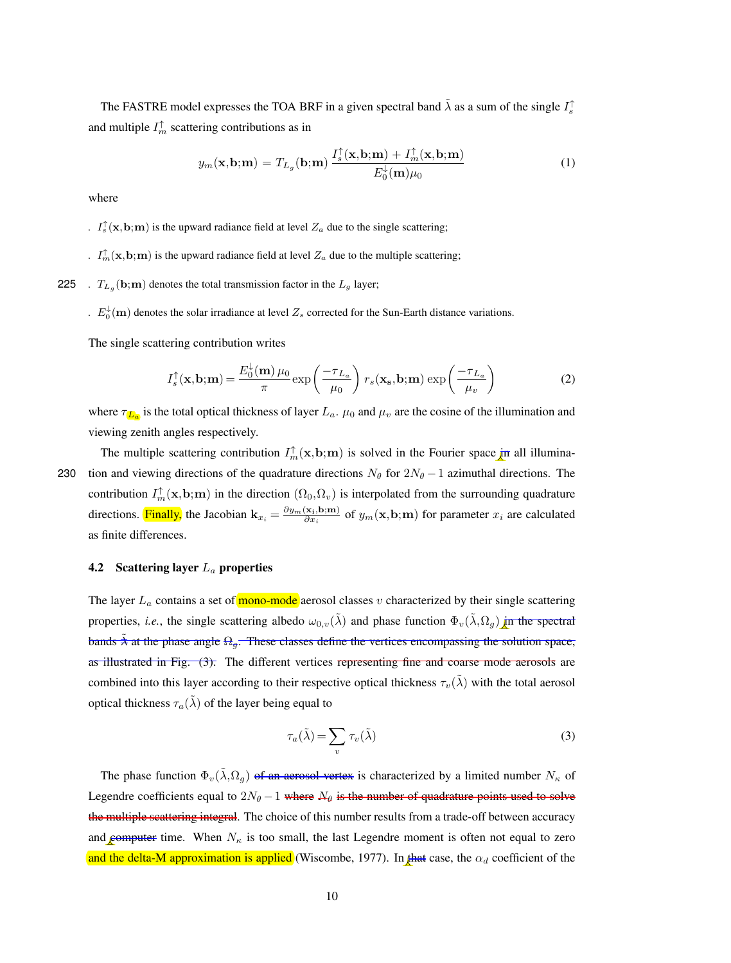The FASTRE model expresses the TOA BRF in a given spectral band  $\tilde{\lambda}$  as a sum of the single  $I_s^{\dagger}$ and multiple  $I_m^{\uparrow}$  scattering contributions as in

$$
y_m(\mathbf{x}, \mathbf{b}; \mathbf{m}) = T_{L_g}(\mathbf{b}; \mathbf{m}) \frac{I_s^{\uparrow}(\mathbf{x}, \mathbf{b}; \mathbf{m}) + I_m^{\uparrow}(\mathbf{x}, \mathbf{b}; \mathbf{m})}{E_0^{\downarrow}(\mathbf{m}) \mu_0}
$$
(1)

where

*I*<sub>s</sub> $(\mathbf{x}, \mathbf{b}; \mathbf{m})$  is the upward radiance field at level  $Z_a$  due to the single scattering;

*I*<sup> $\uparrow$ </sup> $\ln$   $(\mathbf{x}, \mathbf{b}; \mathbf{m})$  is the upward radiance field at level  $Z_a$  due to the multiple scattering;

225 *.*  $T_{L_g}(\mathbf{b};\mathbf{m})$  denotes the total transmission factor in the  $L_g$  layer;

 $E_0^{\downarrow}(\mathbf{m})$  denotes the solar irradiance at level  $Z_s$  corrected for the Sun-Earth distance variations.

The single scattering contribution writes

$$
I_s^{\uparrow}(\mathbf{x}, \mathbf{b}; \mathbf{m}) = \frac{E_0^{\downarrow}(\mathbf{m}) \,\mu_0}{\pi} \exp\left(\frac{-\tau_{L_a}}{\mu_0}\right) r_s(\mathbf{x_s}, \mathbf{b}; \mathbf{m}) \exp\left(\frac{-\tau_{L_a}}{\mu_v}\right) \tag{2}
$$

where  $\tau_{\textbf{L}_a}$  is the total optical thickness of layer  $L_a$ .  $\mu_0$  and  $\mu_v$  are the cosine of the illumination and viewing zenith angles respectively.

The multiple scattering contribution  $I_m^{\uparrow}(\mathbf{x}, \mathbf{b}; \mathbf{m})$  is solved in the Fourier space in all illumina-230 tion and viewing directions of the quadrature directions  $N_{\theta}$  for  $2N_{\theta} - 1$  azimuthal directions. The contribution  $I_m^{\uparrow}(\mathbf{x}, \mathbf{b}; \mathbf{m})$  in the direction  $(\Omega_0, \Omega_v)$  is interpolated from the surrounding quadrature directions. Finally, the Jacobian  $\mathbf{k}_{x_i} = \frac{\partial y_m(\mathbf{x_i}, \mathbf{b}; \mathbf{m})}{\partial x_i}$  $\frac{\partial \mathbf{x}_i, \mathbf{b}; \mathbf{m}}{\partial x_i}$  of  $y_m(\mathbf{x}, \mathbf{b}; \mathbf{m})$  for parameter  $x_i$  are calculated as finite differences.

# 4.2 Scattering layer  $L_a$  properties

The layer  $L_a$  contains a set of mono-mode aerosol classes v characterized by their single scattering properties, *i.e.*, the single scattering albedo  $\omega_{0,v}(\tilde{\lambda})$  and phase function  $\Phi_v(\tilde{\lambda}, \Omega_q)$  in the spectral bands  $\lambda$  at the phase angle  $\Omega_q$ . These classes define the vertices encompassing the solution space, as illustrated in Fig. (3). The different vertices representing fine and coarse mode aerosols are combined into this layer according to their respective optical thickness  $\tau_v(\tilde{\lambda})$  with the total aerosol optical thickness  $\tau_a(\tilde{\lambda})$  of the layer being equal to

$$
\tau_a(\tilde{\lambda}) = \sum_v \tau_v(\tilde{\lambda})
$$
\n(3)

The phase function  $\Phi_v(\tilde{\lambda}, \Omega_g)$  of an aerosol vertex is characterized by a limited number  $N_\kappa$  of Legendre coefficients equal to  $2N_{\theta} - 1$  where  $N_{\theta}$  is the number of quadrature points used to solve the multiple scattering integral. The choice of this number results from a trade-off between accuracy and computer time. When  $N_{\kappa}$  is too small, the last Legendre moment is often not equal to zero and the delta-M approximation is applied (Wiscombe, 1977). In that case, the  $\alpha_d$  coefficient of the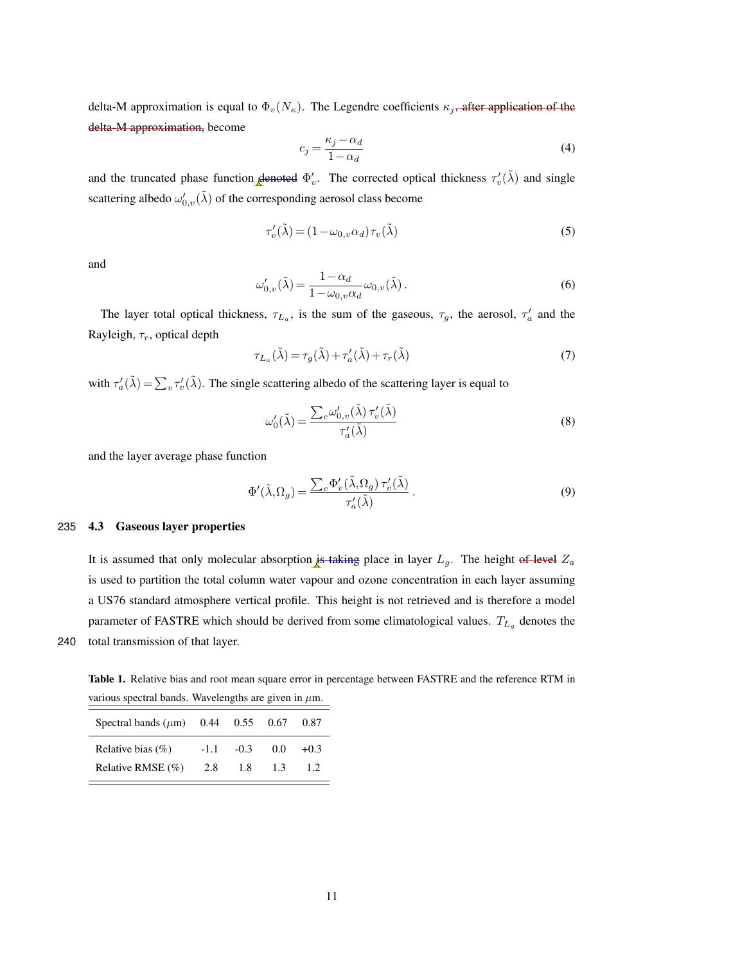delta-M approximation is equal to  $\Phi_v(N_{\kappa})$ . The Legendre coefficients  $\kappa_j$ , after application of the delta-M approximation, become

$$
c_j = \frac{\kappa_j - \alpha_d}{1 - \alpha_d} \tag{4}
$$

and the truncated phase function denoted  $\Phi'_v$ . The corrected optical thickness  $\tau'_v(\tilde{\lambda})$  and single scattering albedo  $\omega'_{0,v}(\tilde{\lambda})$  of the corresponding aerosol class become

$$
\tau_v'(\tilde{\lambda}) = (1 - \omega_{0,v}\alpha_d)\tau_v(\tilde{\lambda})
$$
\n(5)

and

$$
\omega'_{0,v}(\tilde{\lambda}) = \frac{1 - \alpha_d}{1 - \omega_{0,v}\alpha_d} \omega_{0,v}(\tilde{\lambda}).
$$
\n(6)

The layer total optical thickness,  $\tau_{L_a}$ , is the sum of the gaseous,  $\tau_g$ , the aerosol,  $\tau'_a$  and the Rayleigh,  $\tau_r$ , optical depth

$$
\tau_{L_a}(\tilde{\lambda}) = \tau_g(\tilde{\lambda}) + \tau'_a(\tilde{\lambda}) + \tau_r(\tilde{\lambda})
$$
\n(7)

with  $\tau'_a(\tilde{\lambda}) = \sum_v \tau'_v(\tilde{\lambda})$ . The single scattering albedo of the scattering layer is equal to

$$
\omega'_{0}(\tilde{\lambda}) = \frac{\sum_{c} \omega'_{0,v}(\tilde{\lambda}) \tau'_{v}(\tilde{\lambda})}{\tau'_{a}(\tilde{\lambda})}
$$
(8)

and the layer average phase function

$$
\Phi'(\tilde{\lambda}, \Omega_g) = \frac{\sum_c \Phi'_v(\tilde{\lambda}, \Omega_g) \tau'_v(\tilde{\lambda})}{\tau'_a(\tilde{\lambda})} \,. \tag{9}
$$

#### 235 4.3 Gaseous layer properties

It is assumed that only molecular absorption is taking place in layer  $L_g$ . The height of level  $Z_a$ is used to partition the total column water vapour and ozone concentration in each layer assuming a US76 standard atmosphere vertical profile. This height is not retrieved and is therefore a model parameter of FASTRE which should be derived from some climatological values.  $T_{L_g}$  denotes the 240 total transmission of that layer.

Table 1. Relative bias and root mean square error in percentage between FASTRE and the reference RTM in various spectral bands. Wavelengths are given in  $\mu$ m.

| Spectral bands $(\mu m)$ | 0.44   | 0.55   | 0.67 | 0.87     |
|--------------------------|--------|--------|------|----------|
| Relative bias $(\% )$    | $-1.1$ | $-0.3$ | 0.0  | $+(0.3)$ |
| Relative RMSE (%)        | 2.8    | 1.8    | 1.3  | 12       |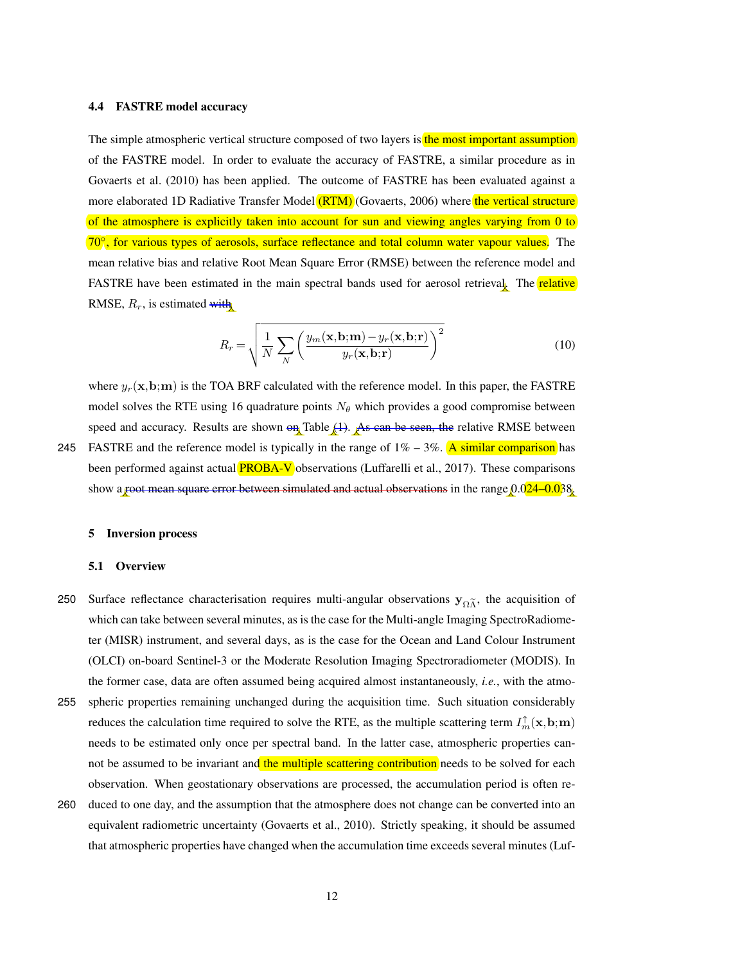#### 4.4 FASTRE model accuracy

The simple atmospheric vertical structure composed of two layers is the most important assumption of the FASTRE model. In order to evaluate the accuracy of FASTRE, a similar procedure as in Govaerts et al. (2010) has been applied. The outcome of FASTRE has been evaluated against a more elaborated 1D Radiative Transfer Model (RTM) (Govaerts, 2006) where the vertical structure of the atmosphere is explicitly taken into account for sun and viewing angles varying from 0 to 70<sup>°</sup>, for various types of aerosols, surface reflectance and total column water vapour values. The mean relative bias and relative Root Mean Square Error (RMSE) between the reference model and FASTRE have been estimated in the main spectral bands used for aerosol retrieval. The relative RMSE,  $R_r$ , is estimated with

$$
R_r = \sqrt{\frac{1}{N} \sum_{N} \left( \frac{y_m(\mathbf{x}, \mathbf{b}; \mathbf{m}) - y_r(\mathbf{x}, \mathbf{b}; \mathbf{r})}{y_r(\mathbf{x}, \mathbf{b}; \mathbf{r})} \right)^2}
$$
(10)

where  $y_r(\mathbf{x}, \mathbf{b}; \mathbf{m})$  is the TOA BRF calculated with the reference model. In this paper, the FASTRE model solves the RTE using 16 quadrature points  $N_{\theta}$  which provides a good compromise between speed and accuracy. Results are shown  $\Theta$ <sup>n</sup> Table  $(1)$ . As can be seen, the relative RMSE between 245 FASTRE and the reference model is typically in the range of  $1\% - 3\%$ . A similar comparison has been performed against actual **PROBA-V** observations (Luffarelli et al., 2017). These comparisons

show a root mean square error between simulated and actual observations in the range  $0.024-0.038$ .

#### 5 Inversion process

#### 5.1 Overview

- Surface reflectance characterisation requires multi-angular observations  $y_{\Omega}$ <sup>\*</sup>, the acquisition of which can take between several minutes, as is the case for the Multi-angle Imaging SpectroRadiometer (MISR) instrument, and several days, as is the case for the Ocean and Land Colour Instrument (OLCI) on-board Sentinel-3 or the Moderate Resolution Imaging Spectroradiometer (MODIS). In the former case, data are often assumed being acquired almost instantaneously, *i.e.*, with the atmo-
- 255 spheric properties remaining unchanged during the acquisition time. Such situation considerably reduces the calculation time required to solve the RTE, as the multiple scattering term  $I_m^{\uparrow}(\mathbf{x},\mathbf{b};\mathbf{m})$ needs to be estimated only once per spectral band. In the latter case, atmospheric properties cannot be assumed to be invariant and the multiple scattering contribution needs to be solved for each observation. When geostationary observations are processed, the accumulation period is often re-
- 260 duced to one day, and the assumption that the atmosphere does not change can be converted into an equivalent radiometric uncertainty (Govaerts et al., 2010). Strictly speaking, it should be assumed that atmospheric properties have changed when the accumulation time exceeds several minutes (Luf-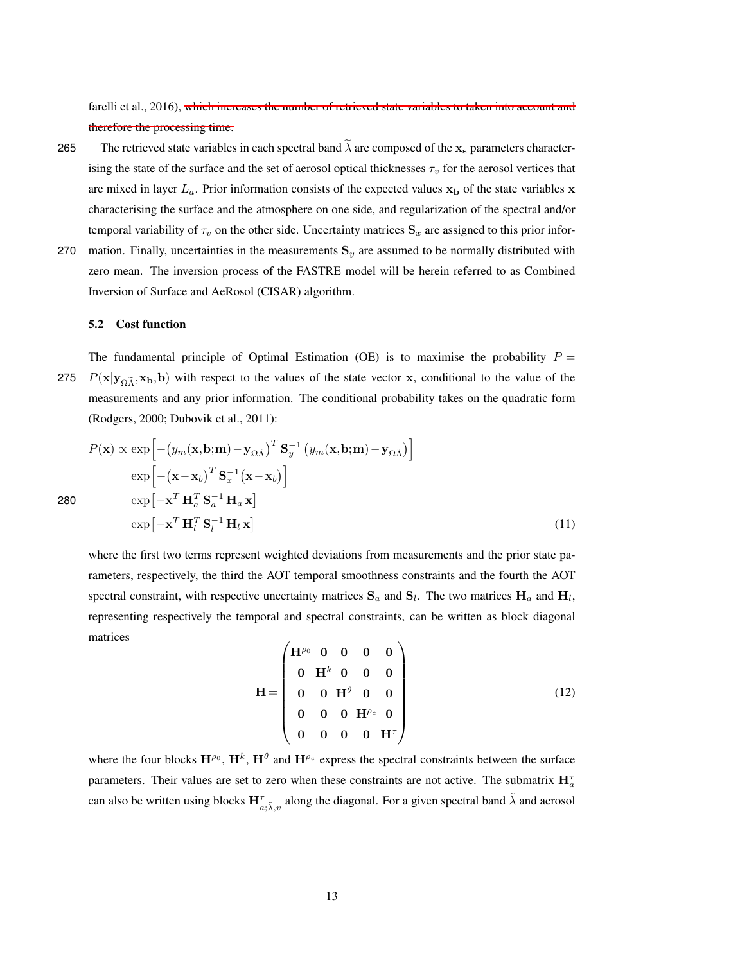farelli et al., 2016), which increases the number of retrieved state variables to taken into account and therefore the processing time.

- 265 The retrieved state variables in each spectral band  $\tilde{\lambda}$  are composed of the  $x_s$  parameters characterising the state of the surface and the set of aerosol optical thicknesses  $\tau_v$  for the aerosol vertices that are mixed in layer  $L_a$ . Prior information consists of the expected values  $x_b$  of the state variables x characterising the surface and the atmosphere on one side, and regularization of the spectral and/or temporal variability of  $\tau_v$  on the other side. Uncertainty matrices  $S_x$  are assigned to this prior infor-
- 270 mation. Finally, uncertainties in the measurements  $S_y$  are assumed to be normally distributed with zero mean. The inversion process of the FASTRE model will be herein referred to as Combined Inversion of Surface and AeRosol (CISAR) algorithm.

# 5.2 Cost function

The fundamental principle of Optimal Estimation (OE) is to maximise the probability  $P =$ 275  $P(x|y_{\Omega}^T, x_b, b)$  with respect to the values of the state vector x, conditional to the value of the measurements and any prior information. The conditional probability takes on the quadratic form (Rodgers, 2000; Dubovik et al., 2011):

$$
P(\mathbf{x}) \propto \exp\left[-\left(y_m(\mathbf{x}, \mathbf{b}; \mathbf{m}) - \mathbf{y}_{\Omega \bar{\Lambda}}\right)^T \mathbf{S}_y^{-1} \left(y_m(\mathbf{x}, \mathbf{b}; \mathbf{m}) - \mathbf{y}_{\Omega \bar{\Lambda}}\right)\right]
$$
  
\n
$$
\exp\left[-\left(\mathbf{x} - \mathbf{x}_b\right)^T \mathbf{S}_x^{-1} (\mathbf{x} - \mathbf{x}_b)\right]
$$
  
\n
$$
\exp\left[-\mathbf{x}^T \mathbf{H}_a^T \mathbf{S}_a^{-1} \mathbf{H}_a \mathbf{x}\right]
$$
  
\n
$$
\exp\left[-\mathbf{x}^T \mathbf{H}_l^T \mathbf{S}_l^{-1} \mathbf{H}_l \mathbf{x}\right]
$$
\n(11)

280

where the first two terms represent weighted deviations from measurements and the prior state parameters, respectively, the third the AOT temporal smoothness constraints and the fourth the AOT spectral constraint, with respective uncertainty matrices  $S_a$  and  $S_l$ . The two matrices  $H_a$  and  $H_l$ , representing respectively the temporal and spectral constraints, can be written as block diagonal matrices

$$
\mathbf{H} = \begin{pmatrix} \mathbf{H}^{\rho_0} & \mathbf{0} & \mathbf{0} & \mathbf{0} & \mathbf{0} \\ \mathbf{0} & \mathbf{H}^k & \mathbf{0} & \mathbf{0} & \mathbf{0} \\ \mathbf{0} & \mathbf{0} & \mathbf{H}^{\theta} & \mathbf{0} & \mathbf{0} \\ \mathbf{0} & \mathbf{0} & \mathbf{0} & \mathbf{H}^{\rho_c} & \mathbf{0} \\ \mathbf{0} & \mathbf{0} & \mathbf{0} & \mathbf{0} & \mathbf{H}^{\tau} \end{pmatrix}
$$
(12)

where the four blocks  $H^{\rho_0}$ ,  $H^k$ ,  $H^{\theta}$  and  $H^{\rho_c}$  express the spectral constraints between the surface parameters. Their values are set to zero when these constraints are not active. The submatrix  $\mathbf{H}_{a}^{\tau}$ can also be written using blocks  $H_{a;\tilde{\lambda},v}^{\tau}$  along the diagonal. For a given spectral band  $\tilde{\lambda}$  and aerosol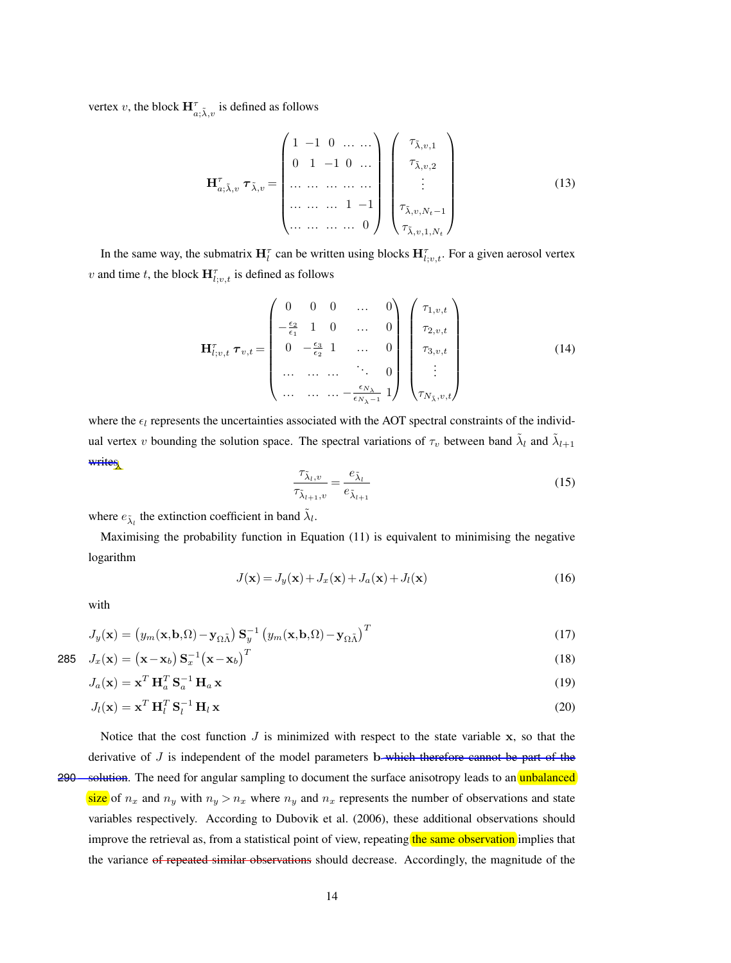vertex v, the block  $\mathbf{H}_{a;\tilde{\lambda},v}^{\tau}$  is defined as follows

$$
\mathbf{H}_{a,\tilde{\lambda},v}^{\tau} \tau_{\tilde{\lambda},v} = \begin{pmatrix} 1 & -1 & 0 & \dots & \dots \\ 0 & 1 & -1 & 0 & \dots \\ \dots & \dots & \dots & \dots & \dots \\ \dots & \dots & \dots & \dots & 1 & -1 \\ \dots & \dots & \dots & \dots & 0 \end{pmatrix} \begin{pmatrix} \tau_{\tilde{\lambda},v,1} \\ \tau_{\tilde{\lambda},v,2} \\ \vdots \\ \tau_{\tilde{\lambda},v,N_t-1} \\ \tau_{\tilde{\lambda},v,1,N_t} \end{pmatrix}
$$
(13)

In the same way, the submatrix  $H_l^{\tau}$  can be written using blocks  $H_{l;v,t}^{\tau}$ . For a given aerosol vertex v and time t, the block  $\mathbf{H}^{\tau}_{l;v,t}$  is defined as follows

$$
\mathbf{H}_{l;v,t}^{\tau} \tau_{v,t} = \begin{pmatrix} 0 & 0 & 0 & \dots & 0 \\ -\frac{\epsilon_2}{\epsilon_1} & 1 & 0 & \dots & 0 \\ 0 & -\frac{\epsilon_3}{\epsilon_2} & 1 & \dots & 0 \\ \dots & \dots & \dots & \ddots & 0 \\ \dots & \dots & \dots & \dots & \vdots \\ \dots & \dots & \dots & \dots & -\frac{\epsilon_{N_{\lambda}}}{\epsilon_{N_{\lambda}-1}} & 1 \end{pmatrix} \begin{pmatrix} \tau_{1,v,t} \\ \tau_{2,v,t} \\ \tau_{3,v,t} \\ \vdots \\ \tau_{N_{\bar{\lambda}},v,t} \end{pmatrix}
$$
(14)

where the  $\epsilon_l$  represents the uncertainties associated with the AOT spectral constraints of the individual vertex v bounding the solution space. The spectral variations of  $\tau_v$  between band  $\tilde{\lambda}_l$  and  $\tilde{\lambda}_{l+1}$ writes

$$
\frac{\tau_{\tilde{\lambda}_l,v}}{\tau_{\tilde{\lambda}_{l+1},v}} = \frac{e_{\tilde{\lambda}_l}}{e_{\tilde{\lambda}_{l+1}}} \tag{15}
$$

where  $e_{\tilde{\lambda}_l}$  the extinction coefficient in band  $\tilde{\lambda}_l$ .

Maximising the probability function in Equation (11) is equivalent to minimising the negative logarithm

$$
J(\mathbf{x}) = J_y(\mathbf{x}) + J_x(\mathbf{x}) + J_a(\mathbf{x}) + J_l(\mathbf{x})
$$
\n(16)

with

$$
J_y(\mathbf{x}) = (y_m(\mathbf{x}, \mathbf{b}, \Omega) - \mathbf{y}_{\Omega \tilde{\Lambda}}) \mathbf{S}_y^{-1} (y_m(\mathbf{x}, \mathbf{b}, \Omega) - \mathbf{y}_{\Omega \tilde{\Lambda}})^T
$$
(17)

$$
285 \quad J_x(\mathbf{x}) = (\mathbf{x} - \mathbf{x}_b) \mathbf{S}_x^{-1} (\mathbf{x} - \mathbf{x}_b)^T
$$
\n(18)

$$
J_a(\mathbf{x}) = \mathbf{x}^T \mathbf{H}_a^T \mathbf{S}_a^{-1} \mathbf{H}_a \mathbf{x}
$$
\n(19)

$$
J_l(\mathbf{x}) = \mathbf{x}^T \mathbf{H}_l^T \mathbf{S}_l^{-1} \mathbf{H}_l \mathbf{x}
$$
\n(20)

Notice that the cost function  $J$  is minimized with respect to the state variable  $x$ , so that the derivative of  $J$  is independent of the model parameters b—which therefore cannot be part of the

290 solution. The need for angular sampling to document the surface anisotropy leads to an unbalanced size of  $n_x$  and  $n_y$  with  $n_y > n_x$  where  $n_y$  and  $n_x$  represents the number of observations and state variables respectively. According to Dubovik et al. (2006), these additional observations should improve the retrieval as, from a statistical point of view, repeating the same observation implies that the variance of repeated similar observations should decrease. Accordingly, the magnitude of the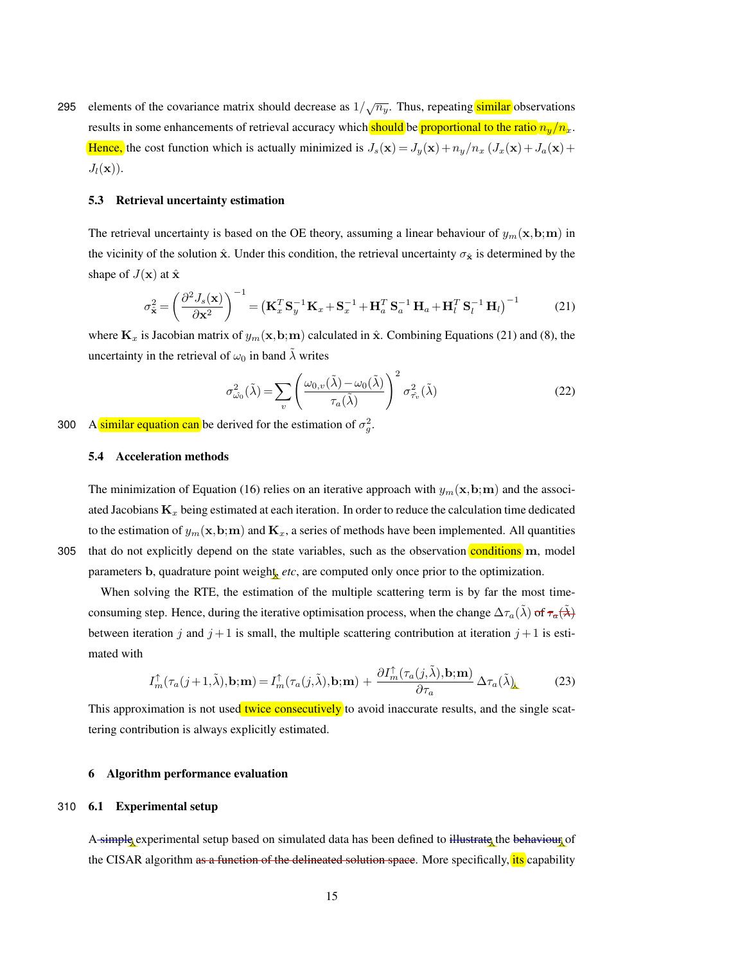295 elements of the covariance matrix should decrease as  $1/\sqrt{n_y}$ . Thus, repeating similar observations results in some enhancements of retrieval accuracy which should be proportional to the ratio  $n_y/n_x$ . Hence, the cost function which is actually minimized is  $J_s(\mathbf{x}) = J_y(\mathbf{x}) + n_y/n_x (J_x(\mathbf{x}) + J_a(\mathbf{x}) + J_b(\mathbf{x}))$  $J_l(\mathbf{x})$ .

# 5.3 Retrieval uncertainty estimation

The retrieval uncertainty is based on the OE theory, assuming a linear behaviour of  $y_m(\mathbf{x}, \mathbf{b}; \mathbf{m})$  in the vicinity of the solution  $\hat{\mathbf{x}}$ . Under this condition, the retrieval uncertainty  $\sigma_{\hat{\mathbf{x}}}$  is determined by the shape of  $J(\mathbf{x})$  at  $\hat{\mathbf{x}}$ 

$$
\sigma_{\mathbf{\hat{x}}}^{2} = \left(\frac{\partial^{2} J_{s}(\mathbf{x})}{\partial \mathbf{x}^{2}}\right)^{-1} = \left(\mathbf{K}_{x}^{T} \mathbf{S}_{y}^{-1} \mathbf{K}_{x} + \mathbf{S}_{x}^{-1} + \mathbf{H}_{a}^{T} \mathbf{S}_{a}^{-1} \mathbf{H}_{a} + \mathbf{H}_{l}^{T} \mathbf{S}_{l}^{-1} \mathbf{H}_{l}\right)^{-1}
$$
(21)

where  $\mathbf{K}_x$  is Jacobian matrix of  $y_m(\mathbf{x},\mathbf{b};m)$  calculated in  $\hat{\mathbf{x}}$ . Combining Equations (21) and (8), the uncertainty in the retrieval of  $\omega_0$  in band  $\lambda$  writes

$$
\sigma_{\omega_0}^2(\tilde{\lambda}) = \sum_v \left( \frac{\omega_{0,v}(\tilde{\lambda}) - \omega_0(\tilde{\lambda})}{\tau_a(\tilde{\lambda})} \right)^2 \sigma_{\tilde{\tau}_v}^2(\tilde{\lambda})
$$
\n(22)

300 A similar equation can be derived for the estimation of  $\sigma_g^2$ .

## 5.4 Acceleration methods

The minimization of Equation (16) relies on an iterative approach with  $y_m(\mathbf{x}, \mathbf{b}; \mathbf{m})$  and the associated Jacobians  $\mathbf{K}_x$  being estimated at each iteration. In order to reduce the calculation time dedicated to the estimation of  $y_m(\mathbf{x},\mathbf{b};m)$  and  $\mathbf{K}_x$ , a series of methods have been implemented. All quantities 305 that do not explicitly depend on the state variables, such as the observation conditions m, model parameters b, quadrature point weight, *etc*, are computed only once prior to the optimization.

When solving the RTE, the estimation of the multiple scattering term is by far the most timeconsuming step. Hence, during the iterative optimisation process, when the change  $\Delta \tau_a(\tilde{\lambda})$  of  $\tau_a(\tilde{\lambda})$ between iteration j and  $j + 1$  is small, the multiple scattering contribution at iteration  $j + 1$  is estimated with

$$
I_m^{\uparrow}(\tau_a(j+1,\tilde{\lambda}),\mathbf{b};\mathbf{m}) = I_m^{\uparrow}(\tau_a(j,\tilde{\lambda}),\mathbf{b};\mathbf{m}) + \frac{\partial I_m^{\uparrow}(\tau_a(j,\tilde{\lambda}),\mathbf{b};\mathbf{m})}{\partial \tau_a} \Delta \tau_a(\tilde{\lambda})
$$
(23)

This approximation is not used twice consecutively to avoid inaccurate results, and the single scattering contribution is always explicitly estimated.

# 6 Algorithm performance evaluation

# 310 6.1 Experimental setup

A simple experimental setup based on simulated data has been defined to illustrate the behaviour of the CISAR algorithm as a function of the delineated solution space. More specifically, its capability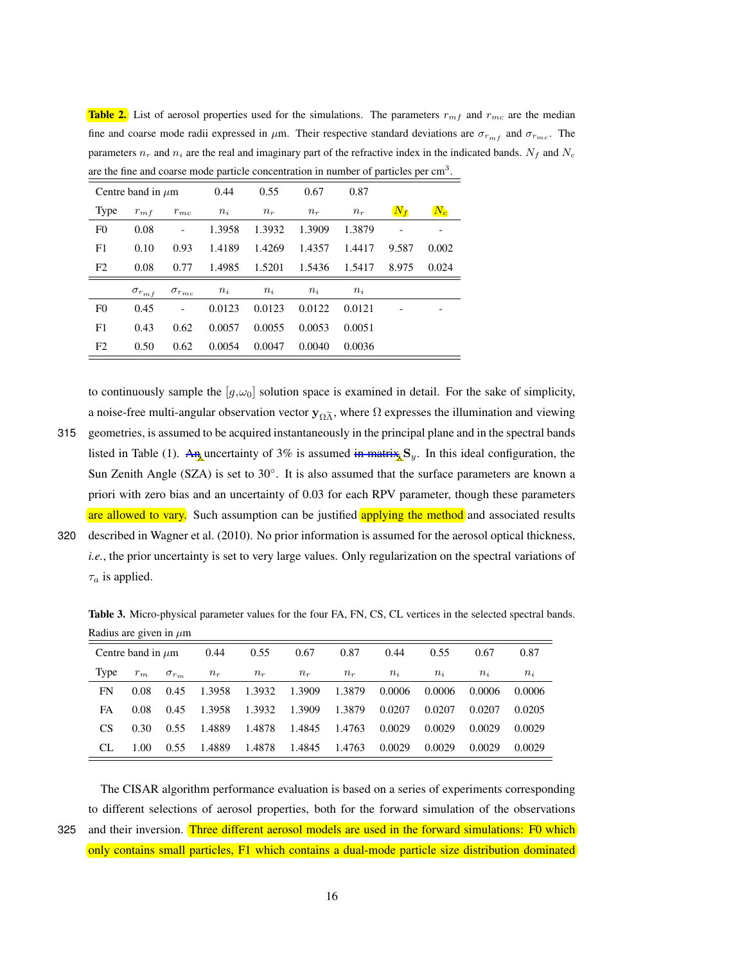| are the fine and coarse mode particle concentration in number of particles per cm <sup>3</sup> . |                        |                   |                  |        |        |        |       |       |  |  |
|--------------------------------------------------------------------------------------------------|------------------------|-------------------|------------------|--------|--------|--------|-------|-------|--|--|
|                                                                                                  | Centre band in $\mu$ m |                   | 0.44             | 0.55   | 0.67   | 0.87   |       |       |  |  |
| <b>Type</b>                                                                                      | $r_{m}$ f<br>$r_{mc}$  |                   | $n_i$            | $n_r$  | $n_r$  | $n_r$  | $N_f$ | $N_c$ |  |  |
| F <sub>0</sub>                                                                                   | 0.08                   |                   | 1.3958           | 1.3932 | 1.3909 | 1.3879 |       |       |  |  |
| F1                                                                                               | 0.10                   | 0.93              | 1.4189           | 1.4269 | 1.4357 | 1.4417 | 9.587 | 0.002 |  |  |
| F <sub>2</sub>                                                                                   | 0.08                   | 0.77              | 1.4985<br>1.5201 |        | 1.5436 | 1.5417 | 8.975 | 0.024 |  |  |
|                                                                                                  | $\sigma_{r_{mf}}$      | $\sigma_{r_{mc}}$ | $n_i$            | $n_i$  | $n_i$  | $n_i$  |       |       |  |  |
| F <sub>0</sub>                                                                                   | 0.45                   |                   | 0.0123           | 0.0123 | 0.0122 | 0.0121 |       |       |  |  |
| F1                                                                                               | 0.43                   | 0.62              | 0.0057           | 0.0055 | 0.0053 | 0.0051 |       |       |  |  |
| F <sub>2</sub>                                                                                   | 0.50                   | 0.62              | 0.0054           | 0.0047 | 0.0040 | 0.0036 |       |       |  |  |

**Table 2.** List of aerosol properties used for the simulations. The parameters  $r_{mf}$  and  $r_{mc}$  are the median fine and coarse mode radii expressed in  $\mu$ m. Their respective standard deviations are  $\sigma_{r_{m}f}$  and  $\sigma_{r_{mc}}$ . The parameters  $n_r$  and  $n_i$  are the real and imaginary part of the refractive index in the indicated bands.  $N_f$  and  $N_c$ are the fine and coarse mode particle concentration in number of particles per cm<sup>3</sup>

to continuously sample the  $[g,\omega_0]$  solution space is examined in detail. For the sake of simplicity, a noise-free multi-angular observation vector  $y_{\Omega\tilde{\Lambda}}$ , where  $\Omega$  expresses the illumination and viewing

- 315 geometries, is assumed to be acquired instantaneously in the principal plane and in the spectral bands listed in Table (1). An uncertainty of 3% is assumed in matrix  $S_y$ . In this ideal configuration, the Sun Zenith Angle (SZA) is set to 30°. It is also assumed that the surface parameters are known a priori with zero bias and an uncertainty of 0.03 for each RPV parameter, though these parameters are allowed to vary. Such assumption can be justified applying the method and associated results
- 320 described in Wagner et al. (2010). No prior information is assumed for the aerosol optical thickness, *i.e.*, the prior uncertainty is set to very large values. Only regularization on the spectral variations of  $\tau_a$  is applied.

Table 3. Micro-physical parameter values for the four FA, FN, CS, CL vertices in the selected spectral bands. Radius are given in  $\mu$ m

|      | Centre band in $\mu$ m |                | 0.44   | 0.55   | 0.67   | 0.87   | 0.44   | 0.55   | 0.67   | 0.87   |
|------|------------------------|----------------|--------|--------|--------|--------|--------|--------|--------|--------|
| Type | $r_m$                  | $\sigma_{r_m}$ | $n_r$  | $n_r$  | $n_r$  | $n_r$  | $n_i$  | $n_i$  | $n_i$  | $n_i$  |
| FN   | 0.08                   | 0.45           | 1.3958 | 1.3932 | 1.3909 | 1.3879 | 0.0006 | 0.0006 | 0.0006 | 0.0006 |
| FA   | 0.08                   | 0.45           | 1.3958 | 1.3932 | 1.3909 | 1.3879 | 0.0207 | 0.0207 | 0.0207 | 0.0205 |
| CS   | 0.30                   | 0.55           | 1.4889 | 1.4878 | 1.4845 | 1.4763 | 0.0029 | 0.0029 | 0.0029 | 0.0029 |
| CL.  | 1.00                   | 0.55           | 1.4889 | 1.4878 | 1.4845 | 1.4763 | 0.0029 | 0.0029 | 0.0029 | 0.0029 |

The CISAR algorithm performance evaluation is based on a series of experiments corresponding to different selections of aerosol properties, both for the forward simulation of the observations 325 and their inversion. Three different aerosol models are used in the forward simulations: F0 which only contains small particles, F1 which contains a dual-mode particle size distribution dominated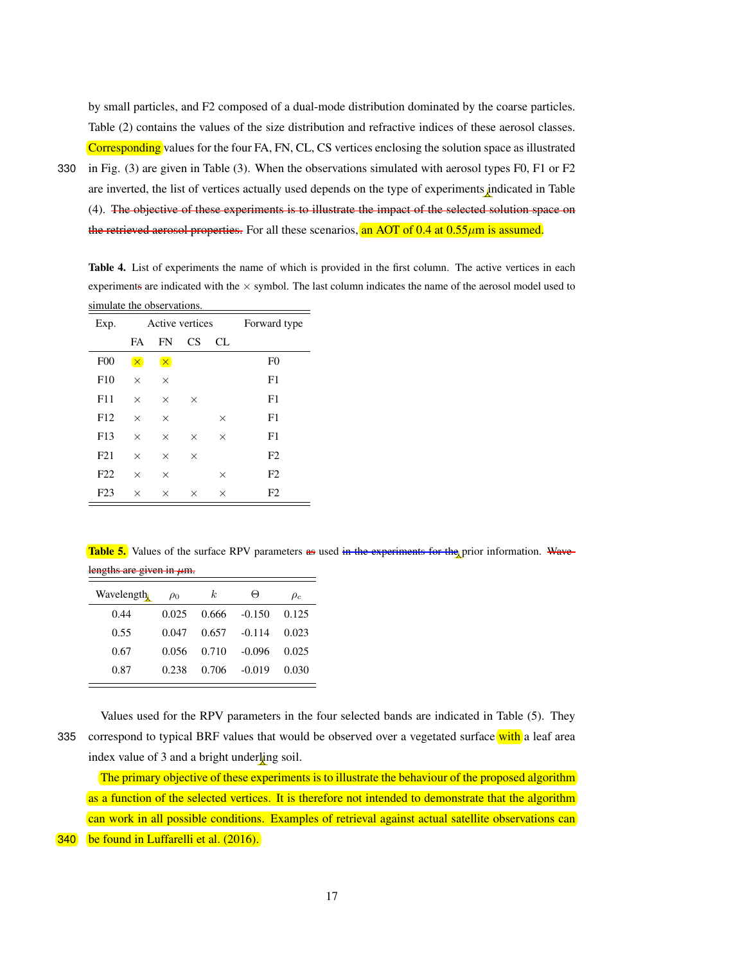by small particles, and F2 composed of a dual-mode distribution dominated by the coarse particles. Table (2) contains the values of the size distribution and refractive indices of these aerosol classes. Corresponding values for the four FA, FN, CL, CS vertices enclosing the solution space as illustrated

330 in Fig. (3) are given in Table (3). When the observations simulated with aerosol types F0, F1 or F2 are inverted, the list of vertices actually used depends on the type of experiments indicated in Table (4). The objective of these experiments is to illustrate the impact of the selected solution space on the retrieved aerosol properties. For all these scenarios, an AOT of 0.4 at  $0.55 \mu m$  is assumed.

Table 4. List of experiments the name of which is provided in the first column. The active vertices in each experiments are indicated with the  $\times$  symbol. The last column indicates the name of the aerosol model used to simulate the observations.

| Exp.             |          | Active vertices | Forward type |          |                |
|------------------|----------|-----------------|--------------|----------|----------------|
|                  | FA       | <b>FN</b>       | CS           | CL.      |                |
| F00              | $\times$ | $\times$        |              |          | F <sub>0</sub> |
| F10              | $\times$ | $\times$        |              |          | F1             |
| F11              | X        | $\times$        | $\times$     |          | F1             |
| F12              | $\times$ | $\times$        |              | $\times$ | F1             |
| F13              | $\times$ | $\times$        | $\times$     | $\times$ | F1             |
| F21              | X        | $\times$        | $\times$     |          | F2             |
| F22              | $\times$ | $\times$        |              | $\times$ | F2             |
| F <sub>2</sub> 3 | $\times$ | $\times$        | $\times$     | $\times$ | F2             |

**Table 5.** Values of the surface RPV parameters as used in the experiments for the prior information. Wavelengths are given in  $\mu$ m.

| $n_{\rm s}$ and $n_{\rm s}$ and $n_{\rm s}$ |          |       |          |          |  |  |  |  |  |  |
|---------------------------------------------|----------|-------|----------|----------|--|--|--|--|--|--|
| Wavelength                                  | $\rho_0$ | k.    | Θ        | $\rho_c$ |  |  |  |  |  |  |
| 0.44                                        | 0.025    | 0.666 | $-0.150$ | 0.125    |  |  |  |  |  |  |
| 0.55                                        | 0.047    | 0.657 | $-0.114$ | 0.023    |  |  |  |  |  |  |
| 0.67                                        | 0.056    | 0.710 | $-0.096$ | 0.025    |  |  |  |  |  |  |
| 0.87                                        | 0.238    | 0.706 | $-0.019$ | 0.030    |  |  |  |  |  |  |

Values used for the RPV parameters in the four selected bands are indicated in Table (5). They 335 correspond to typical BRF values that would be observed over a vegetated surface with a leaf area index value of 3 and a bright underling soil.

The primary objective of these experiments is to illustrate the behaviour of the proposed algorithm as a function of the selected vertices. It is therefore not intended to demonstrate that the algorithm can work in all possible conditions. Examples of retrieval against actual satellite observations can

340 be found in Luffarelli et al. (2016).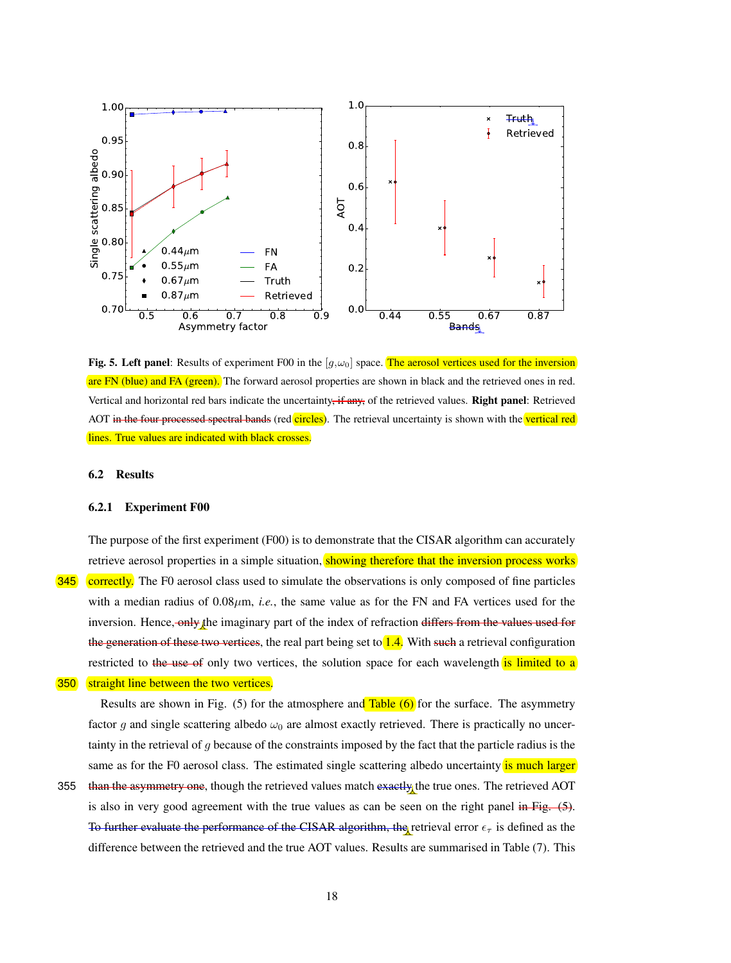

Fig. 5. Left panel: Results of experiment F00 in the  $[g,\omega_0]$  space. The aerosol vertices used for the inversion are FN (blue) and FA (green). The forward aerosol properties are shown in black and the retrieved ones in red. Vertical and horizontal red bars indicate the uncertainty, if any, of the retrieved values. Right panel: Retrieved AOT in the four processed spectral bands (red circles). The retrieval uncertainty is shown with the vertical red lines. True values are indicated with black crosses.

# 6.2 Results

#### 6.2.1 Experiment F00

The purpose of the first experiment (F00) is to demonstrate that the CISAR algorithm can accurately retrieve aerosol properties in a simple situation, showing therefore that the inversion process works **345** correctly. The F0 aerosol class used to simulate the observations is only composed of fine particles with a median radius of  $0.08\mu$ m, *i.e.*, the same value as for the FN and FA vertices used for the inversion. Hence, only the imaginary part of the index of refraction differs from the values used for the generation of these two vertices, the real part being set to  $1.4$ . With such a retrieval configuration restricted to the use of only two vertices, the solution space for each wavelength is limited to a

# **350** straight line between the two vertices.

Results are shown in Fig.  $(5)$  for the atmosphere and Table  $(6)$  for the surface. The asymmetry factor g and single scattering albedo  $\omega_0$  are almost exactly retrieved. There is practically no uncertainty in the retrieval of g because of the constraints imposed by the fact that the particle radius is the same as for the F0 aerosol class. The estimated single scattering albedo uncertainty is much larger

355 than the asymmetry one, though the retrieved values match exactly the true ones. The retrieved AOT is also in very good agreement with the true values as can be seen on the right panel in Fig.  $(5)$ . To further evaluate the performance of the CISAR algorithm, the retrieval error  $\epsilon_{\tau}$  is defined as the difference between the retrieved and the true AOT values. Results are summarised in Table (7). This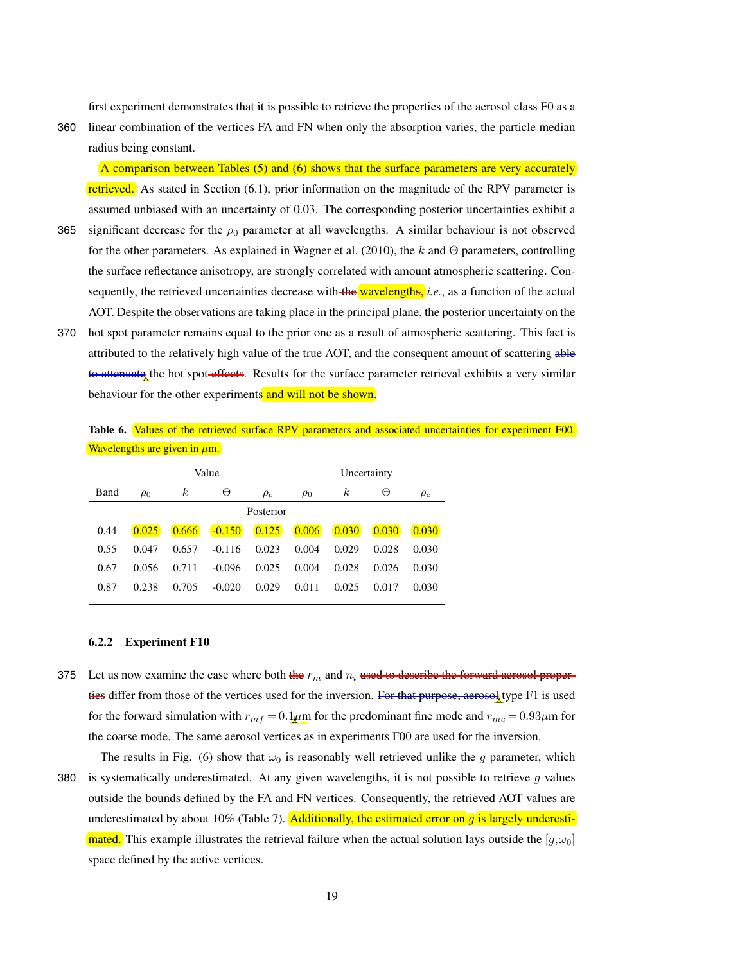first experiment demonstrates that it is possible to retrieve the properties of the aerosol class F0 as a

360 linear combination of the vertices FA and FN when only the absorption varies, the particle median radius being constant.

A comparison between Tables (5) and (6) shows that the surface parameters are very accurately retrieved. As stated in Section (6.1), prior information on the magnitude of the RPV parameter is assumed unbiased with an uncertainty of 0.03. The corresponding posterior uncertainties exhibit a

- 365 significant decrease for the  $\rho_0$  parameter at all wavelengths. A similar behaviour is not observed for the other parameters. As explained in Wagner et al. (2010), the  $k$  and  $\Theta$  parameters, controlling the surface reflectance anisotropy, are strongly correlated with amount atmospheric scattering. Consequently, the retrieved uncertainties decrease with the wavelengths, *i.e.*, as a function of the actual AOT. Despite the observations are taking place in the principal plane, the posterior uncertainty on the
- 370 hot spot parameter remains equal to the prior one as a result of atmospheric scattering. This fact is attributed to the relatively high value of the true AOT, and the consequent amount of scattering able to attenuate the hot spot effects. Results for the surface parameter retrieval exhibits a very similar behaviour for the other experiments and will not be shown.

Table 6. Values of the retrieved surface RPV parameters and associated uncertainties for experiment F00. Wavelengths are given in um.

| " " at " <u>bronne</u> and an external points" |           |                  |          |          |             |                  |       |          |  |  |
|------------------------------------------------|-----------|------------------|----------|----------|-------------|------------------|-------|----------|--|--|
|                                                |           |                  | Value    |          | Uncertainty |                  |       |          |  |  |
| Band                                           | $\rho_0$  | $\boldsymbol{k}$ | Θ        | $\rho_c$ | $\rho_0$    | $\boldsymbol{k}$ | Θ     | $\rho_c$ |  |  |
|                                                | Posterior |                  |          |          |             |                  |       |          |  |  |
| 0.44                                           | 0.025     | 0.666            | $-0.150$ | 0.125    | 0.006       | 0.030            | 0.030 | 0.030    |  |  |
| 0.55                                           | 0.047     | 0.657            | $-0.116$ | 0.023    | 0.004       | 0.029            | 0.028 | 0.030    |  |  |
| 0.67                                           | 0.056     | 0.711            | $-0.096$ | 0.025    | 0.004       | 0.028            | 0.026 | 0.030    |  |  |
| 0.87                                           | 0.238     | 0.705            | $-0.020$ | 0.029    | 0.011       | 0.025            | 0.017 | 0.030    |  |  |

# 6.2.2 Experiment F10

- 375 Let us now examine the case where both the  $r_m$  and  $n_i$  used to describe the forward aerosol properties differ from those of the vertices used for the inversion. For that purpose, aerosol type F1 is used for the forward simulation with  $r_{mf} = 0.1 \mu m$  for the predominant fine mode and  $r_{mc} = 0.93 \mu m$  for the coarse mode. The same aerosol vertices as in experiments F00 are used for the inversion.
- 

The results in Fig. (6) show that  $\omega_0$  is reasonably well retrieved unlike the g parameter, which 380 is systematically underestimated. At any given wavelengths, it is not possible to retrieve g values outside the bounds defined by the FA and FN vertices. Consequently, the retrieved AOT values are underestimated by about 10% (Table 7). Additionally, the estimated error on  $\overline{q}$  is largely underesti**mated.** This example illustrates the retrieval failure when the actual solution lays outside the  $[g,\omega_0]$ space defined by the active vertices.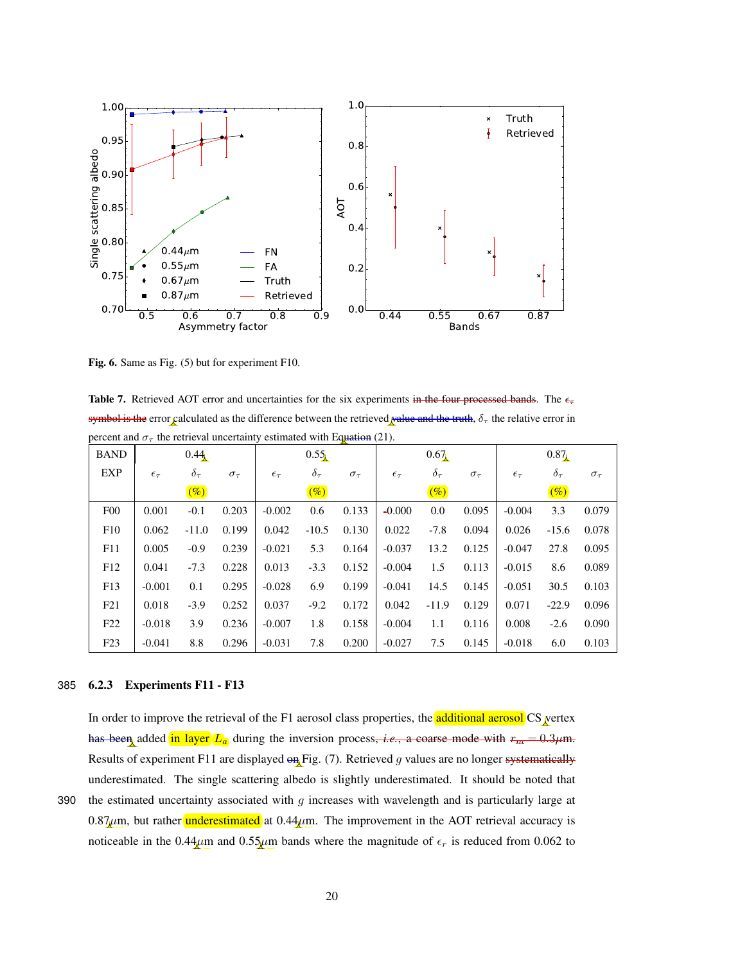

Fig. 6. Same as Fig. (5) but for experiment F10.

Table 7. Retrieved AOT error and uncertainties for the six experiments in the four processed bands. The  $\epsilon_{\tau}$ symbol is the error calculated as the difference between the retrieved value and the truth,  $\delta_{\tau}$  the relative error in percent and  $\sigma_{\tau}$  the retrieval uncertainty estimated with Equation (21).

| <b>BAND</b>     | 0.44              |                 |                 | 0.55              |                 |                 | 0.67              |                 |                 | 0.87              |               |                 |
|-----------------|-------------------|-----------------|-----------------|-------------------|-----------------|-----------------|-------------------|-----------------|-----------------|-------------------|---------------|-----------------|
| EXP             | $\epsilon_{\tau}$ | $\delta_{\tau}$ | $\sigma_{\tau}$ | $\epsilon_{\tau}$ | $\delta_{\tau}$ | $\sigma_{\tau}$ | $\epsilon_{\tau}$ | $\delta_{\tau}$ | $\sigma_{\tau}$ | $\epsilon_{\tau}$ | $\delta_\tau$ | $\sigma_{\tau}$ |
|                 |                   | $(\%)$          |                 |                   | $(\%)$          |                 |                   | $(\%)$          |                 |                   | $(\%)$        |                 |
| F <sub>0</sub>  | 0.001             | $-0.1$          | 0.203           | $-0.002$          | 0.6             | 0.133           | $-0.000$          | 0.0             | 0.095           | $-0.004$          | 3.3           | 0.079           |
| F10             | 0.062             | $-11.0$         | 0.199           | 0.042             | $-10.5$         | 0.130           | 0.022             | $-7.8$          | 0.094           | 0.026             | $-15.6$       | 0.078           |
| F11             | 0.005             | $-0.9$          | 0.239           | $-0.021$          | 5.3             | 0.164           | $-0.037$          | 13.2            | 0.125           | $-0.047$          | 27.8          | 0.095           |
| F <sub>12</sub> | 0.041             | $-7.3$          | 0.228           | 0.013             | $-3.3$          | 0.152           | $-0.004$          | 1.5             | 0.113           | $-0.015$          | 8.6           | 0.089           |
| F13             | $-0.001$          | 0.1             | 0.295           | $-0.028$          | 6.9             | 0.199           | $-0.041$          | 14.5            | 0.145           | $-0.051$          | 30.5          | 0.103           |
| F21             | 0.018             | $-3.9$          | 0.252           | 0.037             | $-9.2$          | 0.172           | 0.042             | $-11.9$         | 0.129           | 0.071             | $-22.9$       | 0.096           |
| F22             | $-0.018$          | 3.9             | 0.236           | $-0.007$          | 1.8             | 0.158           | $-0.004$          | 1.1             | 0.116           | 0.008             | $-2.6$        | 0.090           |
| F23             | $-0.041$          | 8.8             | 0.296           | $-0.031$          | 7.8             | 0.200           | $-0.027$          | 7.5             | 0.145           | $-0.018$          | 6.0           | 0.103           |

# 385 6.2.3 Experiments F11 - F13

In order to improve the retrieval of the F1 aerosol class properties, the **additional aerosol** CS vertex has been added in layer  $L_a$  during the inversion process, *i.e.*, a coarse mode with  $r_m = 0.3 \mu$ m. Results of experiment F11 are displayed on Fig. (7). Retrieved g values are no longer systematically underestimated. The single scattering albedo is slightly underestimated. It should be noted that

390 the estimated uncertainty associated with  $q$  increases with wavelength and is particularly large at  $0.87\mu$ m, but rather **underestimated** at  $0.44\mu$ m. The improvement in the AOT retrieval accuracy is noticeable in the 0.44 $\mu$ m and 0.55 $\mu$ m bands where the magnitude of  $\epsilon_r$  is reduced from 0.062 to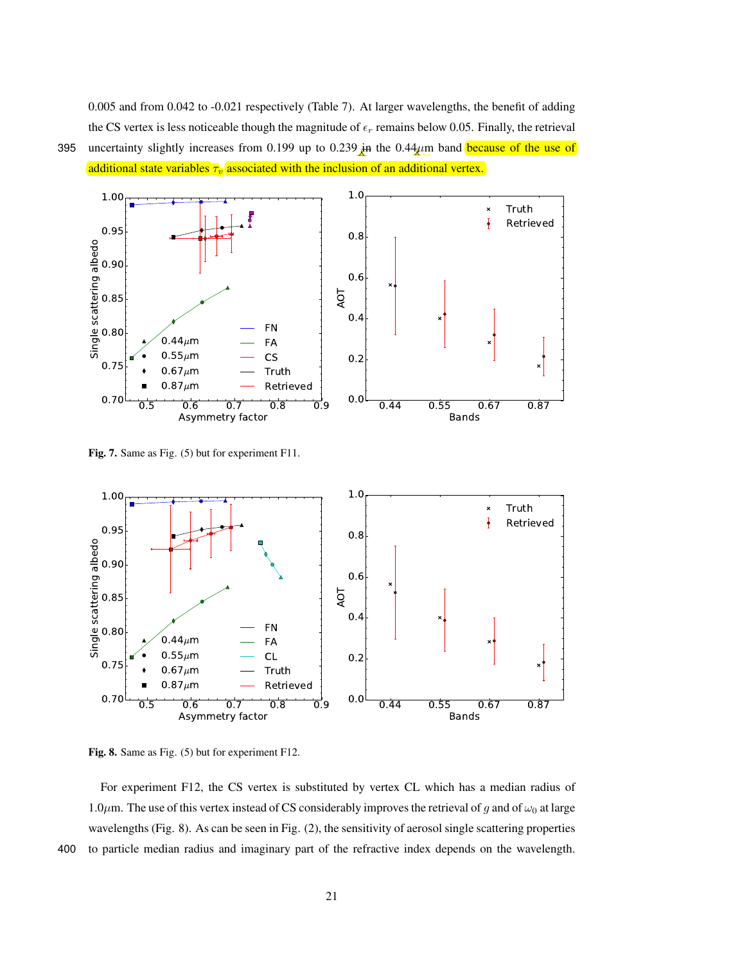0.005 and from 0.042 to -0.021 respectively (Table 7). At larger wavelengths, the benefit of adding the CS vertex is less noticeable though the magnitude of  $\epsilon_r$  remains below 0.05. Finally, the retrieval 395 uncertainty slightly increases from 0.199 up to 0.239 in the 0.44 $\mu$ m band because of the use of



additional state variables  $\tau_v$  associated with the inclusion of an additional vertex.



Fig. 7. Same as Fig. (5) but for experiment F11.



Fig. 8. Same as Fig. (5) but for experiment F12.

For experiment F12, the CS vertex is substituted by vertex CL which has a median radius of 1.0 $\mu$ m. The use of this vertex instead of CS considerably improves the retrieval of g and of  $\omega_0$  at large wavelengths (Fig. 8). As can be seen in Fig. (2), the sensitivity of aerosol single scattering properties 400 to particle median radius and imaginary part of the refractive index depends on the wavelength.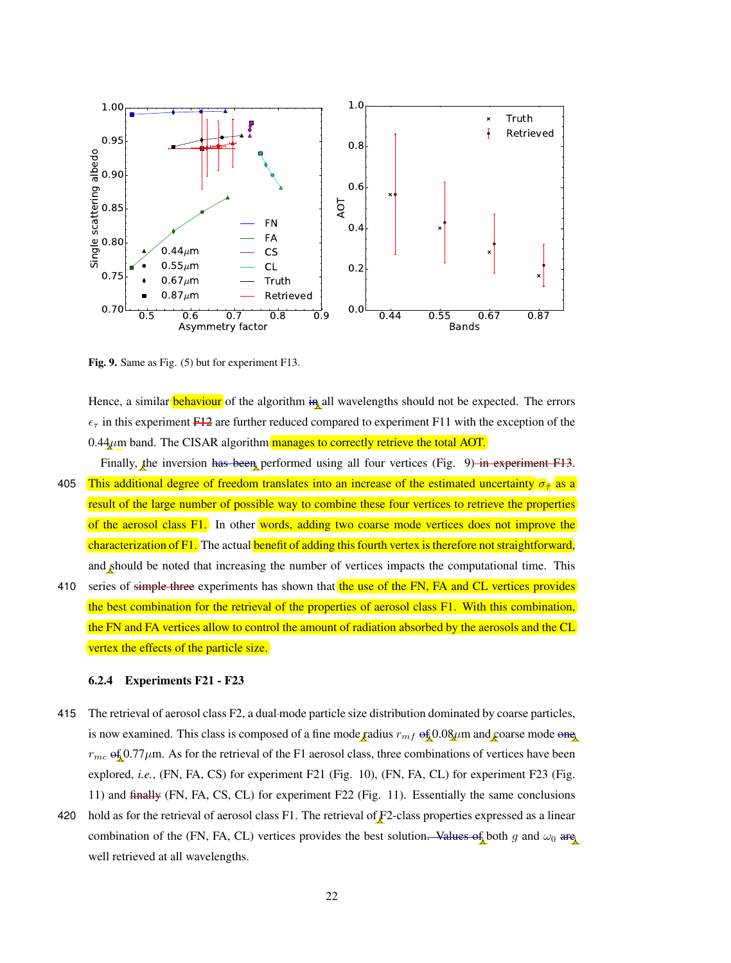

Fig. 9. Same as Fig. (5) but for experiment F13.

Hence, a similar **behaviour** of the algorithm in all wavelengths should not be expected. The errors  $\epsilon_{\tau}$  in this experiment F12 are further reduced compared to experiment F11 with the exception of the  $0.44\mu$ m band. The CISAR algorithm manages to correctly retrieve the total AOT.

- Finally, the inversion has been performed using all four vertices (Fig. 9) in experiment F13. 405 This additional degree of freedom translates into an increase of the estimated uncertainty  $\sigma_{\hat{r}}$  as a result of the large number of possible way to combine these four vertices to retrieve the properties of the aerosol class F1. In other words, adding two coarse mode vertices does not improve the characterization of F1. The actual benefit of adding this fourth vertex is therefore not straightforward, and should be noted that increasing the number of vertices impacts the computational time. This
- 410 series of simple three experiments has shown that the use of the FN, FA and CL vertices provides the best combination for the retrieval of the properties of aerosol class F1. With this combination, the FN and FA vertices allow to control the amount of radiation absorbed by the aerosols and the CL vertex the effects of the particle size.

# 6.2.4 Experiments F21 - F23

- 415 The retrieval of aerosol class F2, a dual mode particle size distribution dominated by coarse particles, is now examined. This class is composed of a fine mode radius  $r_{mf}$  of 0.08 $\mu$ m and coarse mode one  $r_{mc}$  of 0.77 $\mu$ m. As for the retrieval of the F1 aerosol class, three combinations of vertices have been explored, *i.e.*, (FN, FA, CS) for experiment F21 (Fig. 10), (FN, FA, CL) for experiment F23 (Fig. 11) and finally (FN, FA, CS, CL) for experiment F22 (Fig. 11). Essentially the same conclusions
- 420 hold as for the retrieval of aerosol class F1. The retrieval of F2-class properties expressed as a linear combination of the (FN, FA, CL) vertices provides the best solution. Values of both g and  $\omega_0$  are well retrieved at all wavelengths.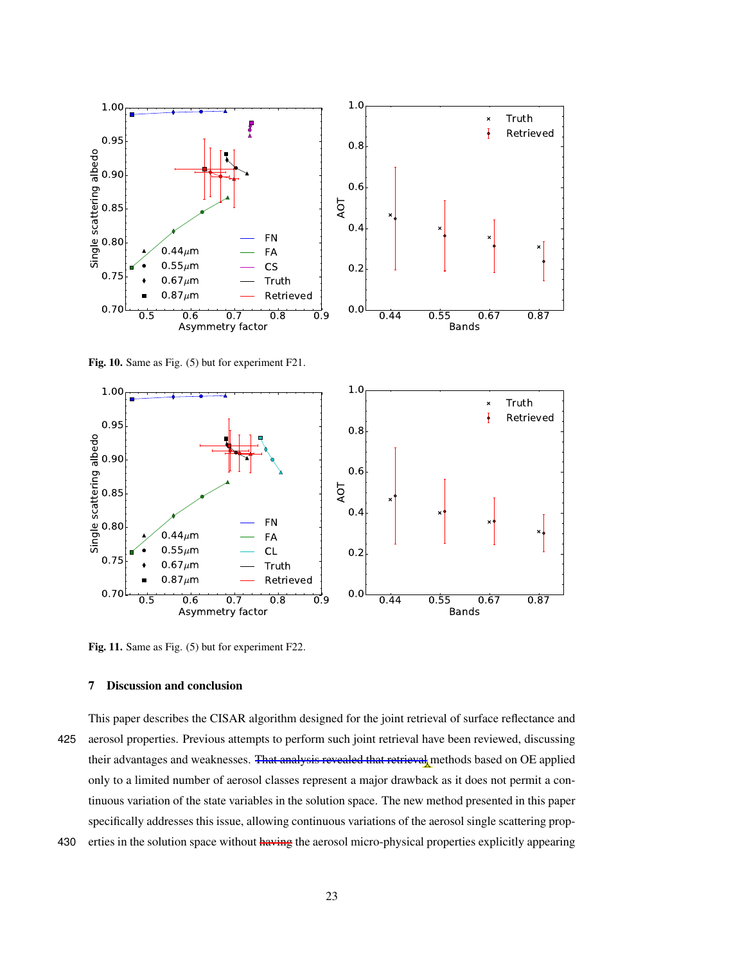

Fig. 10. Same as Fig. (5) but for experiment F21.



Fig. 11. Same as Fig. (5) but for experiment F22.

# 7 Discussion and conclusion

This paper describes the CISAR algorithm designed for the joint retrieval of surface reflectance and 425 aerosol properties. Previous attempts to perform such joint retrieval have been reviewed, discussing their advantages and weaknesses. That analysis revealed that retrieval methods based on OE applied only to a limited number of aerosol classes represent a major drawback as it does not permit a continuous variation of the state variables in the solution space. The new method presented in this paper specifically addresses this issue, allowing continuous variations of the aerosol single scattering prop-

430 erties in the solution space without having the aerosol micro-physical properties explicitly appearing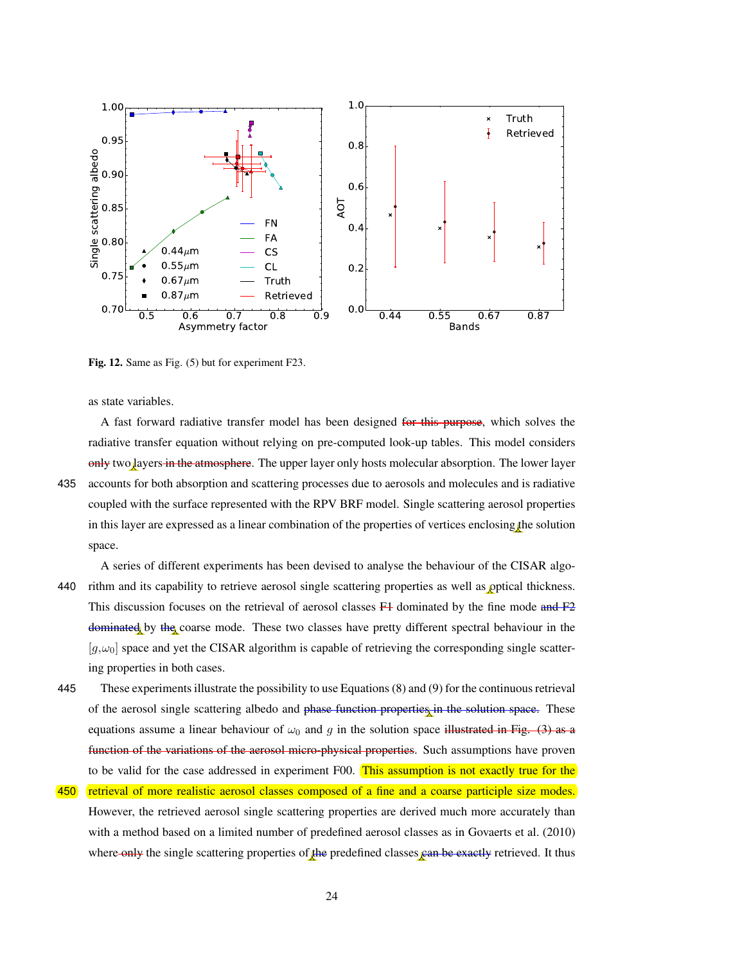

Fig. 12. Same as Fig. (5) but for experiment F23.

as state variables.

A fast forward radiative transfer model has been designed for this purpose, which solves the radiative transfer equation without relying on pre-computed look-up tables. This model considers only two layers in the atmosphere. The upper layer only hosts molecular absorption. The lower layer 435 accounts for both absorption and scattering processes due to aerosols and molecules and is radiative coupled with the surface represented with the RPV BRF model. Single scattering aerosol properties in this layer are expressed as a linear combination of the properties of vertices enclosing the solution space.

A series of different experiments has been devised to analyse the behaviour of the CISAR algo-440 rithm and its capability to retrieve aerosol single scattering properties as well as optical thickness. This discussion focuses on the retrieval of aerosol classes  $F<sup>1</sup>$  dominated by the fine mode and  $F<sup>2</sup>$ dominated by the coarse mode. These two classes have pretty different spectral behaviour in the  $[g,\omega_0]$  space and yet the CISAR algorithm is capable of retrieving the corresponding single scattering properties in both cases.

- 445 These experiments illustrate the possibility to use Equations (8) and (9) for the continuous retrieval of the aerosol single scattering albedo and phase function properties in the solution space. These equations assume a linear behaviour of  $\omega_0$  and g in the solution space illustrated in Fig. (3) as a function of the variations of the aerosol micro-physical properties. Such assumptions have proven to be valid for the case addressed in experiment F00. This assumption is not exactly true for the
- 450 retrieval of more realistic aerosol classes composed of a fine and a coarse participle size modes. However, the retrieved aerosol single scattering properties are derived much more accurately than with a method based on a limited number of predefined aerosol classes as in Govaerts et al. (2010) where only the single scattering properties of the predefined classes can be exactly retrieved. It thus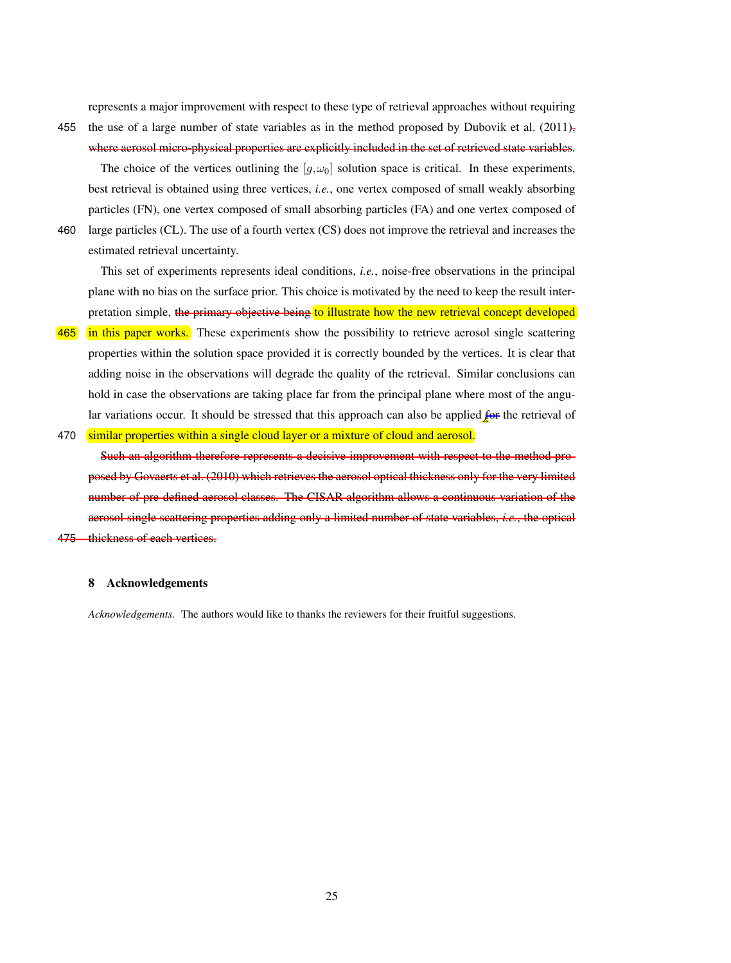represents a major improvement with respect to these type of retrieval approaches without requiring

- 455 the use of a large number of state variables as in the method proposed by Dubovik et al. (2011), where aerosol micro-physical properties are explicitly included in the set of retrieved state variables. The choice of the vertices outlining the  $[g, \omega_0]$  solution space is critical. In these experiments,
- best retrieval is obtained using three vertices, *i.e.*, one vertex composed of small weakly absorbing particles (FN), one vertex composed of small absorbing particles (FA) and one vertex composed of 460 large particles (CL). The use of a fourth vertex (CS) does not improve the retrieval and increases the
	- estimated retrieval uncertainty.

This set of experiments represents ideal conditions, *i.e.*, noise-free observations in the principal plane with no bias on the surface prior. This choice is motivated by the need to keep the result interpretation simple, the primary objective being to illustrate how the new retrieval concept developed

- 465 in this paper works. These experiments show the possibility to retrieve aerosol single scattering properties within the solution space provided it is correctly bounded by the vertices. It is clear that adding noise in the observations will degrade the quality of the retrieval. Similar conclusions can hold in case the observations are taking place far from the principal plane where most of the angular variations occur. It should be stressed that this approach can also be applied for the retrieval of
- 470 similar properties within a single cloud layer or a mixture of cloud and aerosol.

Such an algorithm therefore represents a decisive improvement with respect to the method proposed by Govaerts et al. (2010) which retrieves the aerosol optical thickness only for the very limited number of pre-defined aerosol classes. The CISAR algorithm allows a continuous variation of the aerosol single scattering properties adding only a limited number of state variables, *i.e.*, the optical 475 thickness of each vertices.

# 8 Acknowledgements

*Acknowledgements.* The authors would like to thanks the reviewers for their fruitful suggestions.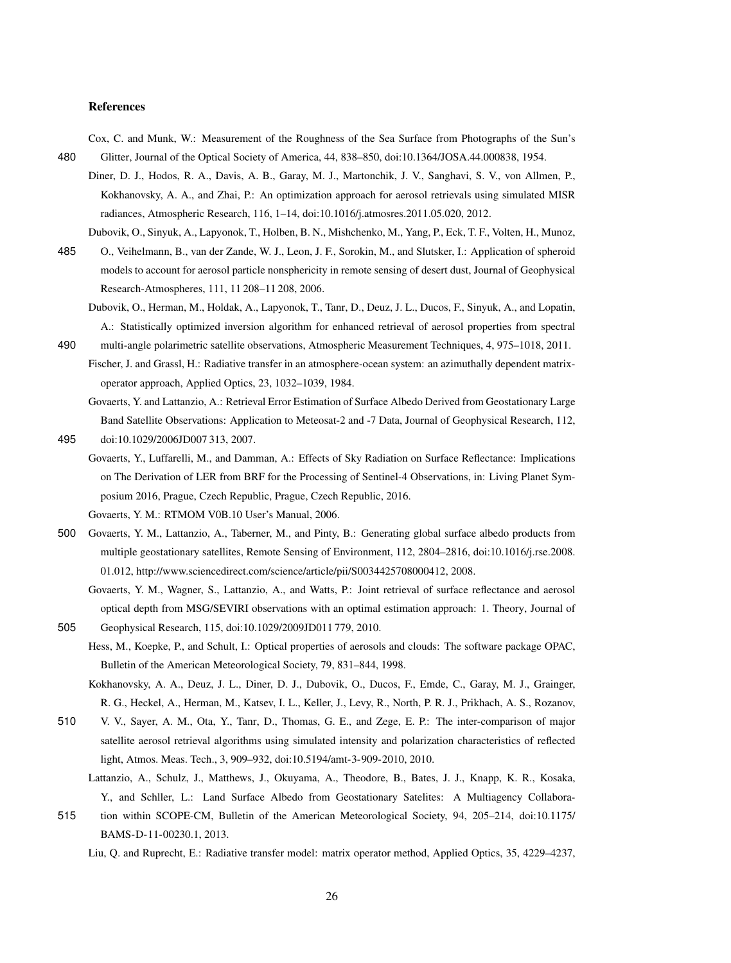## References

Cox, C. and Munk, W.: Measurement of the Roughness of the Sea Surface from Photographs of the Sun's 480 Glitter, Journal of the Optical Society of America, 44, 838–850, doi:10.1364/JOSA.44.000838, 1954.

Diner, D. J., Hodos, R. A., Davis, A. B., Garay, M. J., Martonchik, J. V., Sanghavi, S. V., von Allmen, P., Kokhanovsky, A. A., and Zhai, P.: An optimization approach for aerosol retrievals using simulated MISR radiances, Atmospheric Research, 116, 1–14, doi:10.1016/j.atmosres.2011.05.020, 2012.

Dubovik, O., Sinyuk, A., Lapyonok, T., Holben, B. N., Mishchenko, M., Yang, P., Eck, T. F., Volten, H., Munoz,

- 485 O., Veihelmann, B., van der Zande, W. J., Leon, J. F., Sorokin, M., and Slutsker, I.: Application of spheroid models to account for aerosol particle nonsphericity in remote sensing of desert dust, Journal of Geophysical Research-Atmospheres, 111, 11 208–11 208, 2006.
	- Dubovik, O., Herman, M., Holdak, A., Lapyonok, T., Tanr, D., Deuz, J. L., Ducos, F., Sinyuk, A., and Lopatin, A.: Statistically optimized inversion algorithm for enhanced retrieval of aerosol properties from spectral
- 490 multi-angle polarimetric satellite observations, Atmospheric Measurement Techniques, 4, 975–1018, 2011. Fischer, J. and Grassl, H.: Radiative transfer in an atmosphere-ocean system: an azimuthally dependent matrixoperator approach, Applied Optics, 23, 1032–1039, 1984.
- Govaerts, Y. and Lattanzio, A.: Retrieval Error Estimation of Surface Albedo Derived from Geostationary Large Band Satellite Observations: Application to Meteosat-2 and -7 Data, Journal of Geophysical Research, 112, 495 doi:10.1029/2006JD007 313, 2007.
- Govaerts, Y., Luffarelli, M., and Damman, A.: Effects of Sky Radiation on Surface Reflectance: Implications on The Derivation of LER from BRF for the Processing of Sentinel-4 Observations, in: Living Planet Symposium 2016, Prague, Czech Republic, Prague, Czech Republic, 2016.
	- Govaerts, Y. M.: RTMOM V0B.10 User's Manual, 2006.
- 500 Govaerts, Y. M., Lattanzio, A., Taberner, M., and Pinty, B.: Generating global surface albedo products from multiple geostationary satellites, Remote Sensing of Environment, 112, 2804–2816, doi:10.1016/j.rse.2008. 01.012, http://www.sciencedirect.com/science/article/pii/S0034425708000412, 2008.
- Govaerts, Y. M., Wagner, S., Lattanzio, A., and Watts, P.: Joint retrieval of surface reflectance and aerosol optical depth from MSG/SEVIRI observations with an optimal estimation approach: 1. Theory, Journal of 505 Geophysical Research, 115, doi:10.1029/2009JD011 779, 2010.
	- Hess, M., Koepke, P., and Schult, I.: Optical properties of aerosols and clouds: The software package OPAC, Bulletin of the American Meteorological Society, 79, 831–844, 1998.
	- Kokhanovsky, A. A., Deuz, J. L., Diner, D. J., Dubovik, O., Ducos, F., Emde, C., Garay, M. J., Grainger, R. G., Heckel, A., Herman, M., Katsev, I. L., Keller, J., Levy, R., North, P. R. J., Prikhach, A. S., Rozanov,
- 510 V. V., Sayer, A. M., Ota, Y., Tanr, D., Thomas, G. E., and Zege, E. P.: The inter-comparison of major satellite aerosol retrieval algorithms using simulated intensity and polarization characteristics of reflected light, Atmos. Meas. Tech., 3, 909–932, doi:10.5194/amt-3-909-2010, 2010.
	- Lattanzio, A., Schulz, J., Matthews, J., Okuyama, A., Theodore, B., Bates, J. J., Knapp, K. R., Kosaka, Y., and Schller, L.: Land Surface Albedo from Geostationary Satelites: A Multiagency Collabora-
- 515 tion within SCOPE-CM, Bulletin of the American Meteorological Society, 94, 205–214, doi:10.1175/ BAMS-D-11-00230.1, 2013.

Liu, Q. and Ruprecht, E.: Radiative transfer model: matrix operator method, Applied Optics, 35, 4229–4237,